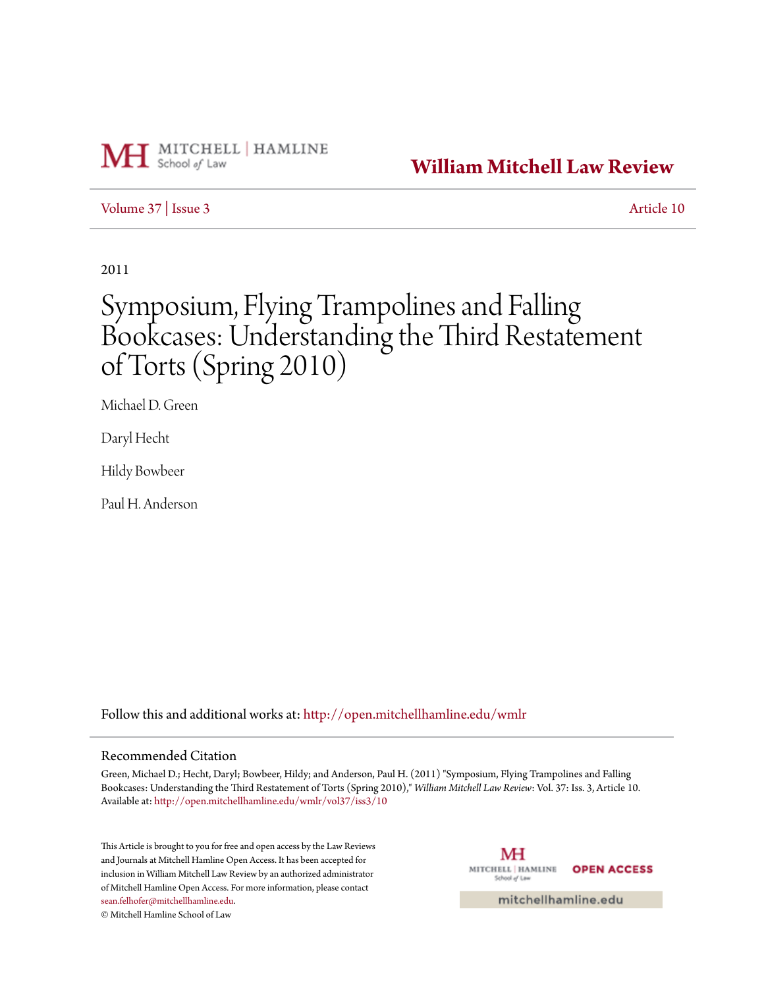

## **[William Mitchell Law Review](http://open.mitchellhamline.edu/wmlr?utm_source=open.mitchellhamline.edu%2Fwmlr%2Fvol37%2Fiss3%2F10&utm_medium=PDF&utm_campaign=PDFCoverPages)**

#### [Volume 37](http://open.mitchellhamline.edu/wmlr/vol37?utm_source=open.mitchellhamline.edu%2Fwmlr%2Fvol37%2Fiss3%2F10&utm_medium=PDF&utm_campaign=PDFCoverPages) | [Issue 3](http://open.mitchellhamline.edu/wmlr/vol37/iss3?utm_source=open.mitchellhamline.edu%2Fwmlr%2Fvol37%2Fiss3%2F10&utm_medium=PDF&utm_campaign=PDFCoverPages) [Article 10](http://open.mitchellhamline.edu/wmlr/vol37/iss3/10?utm_source=open.mitchellhamline.edu%2Fwmlr%2Fvol37%2Fiss3%2F10&utm_medium=PDF&utm_campaign=PDFCoverPages)

2011

# Symposium, Flying Trampolines and Falling Bookcases: Understanding the Third Restatement of Torts (Spring 2010)

Michael D. Green

Daryl Hecht

Hildy Bowbeer

Paul H. Anderson

Follow this and additional works at: [http://open.mitchellhamline.edu/wmlr](http://open.mitchellhamline.edu/wmlr?utm_source=open.mitchellhamline.edu%2Fwmlr%2Fvol37%2Fiss3%2F10&utm_medium=PDF&utm_campaign=PDFCoverPages)

#### Recommended Citation

Green, Michael D.; Hecht, Daryl; Bowbeer, Hildy; and Anderson, Paul H. (2011) "Symposium, Flying Trampolines and Falling Bookcases: Understanding the Third Restatement of Torts (Spring 2010)," *William Mitchell Law Review*: Vol. 37: Iss. 3, Article 10. Available at: [http://open.mitchellhamline.edu/wmlr/vol37/iss3/10](http://open.mitchellhamline.edu/wmlr/vol37/iss3/10?utm_source=open.mitchellhamline.edu%2Fwmlr%2Fvol37%2Fiss3%2F10&utm_medium=PDF&utm_campaign=PDFCoverPages)

This Article is brought to you for free and open access by the Law Reviews and Journals at Mitchell Hamline Open Access. It has been accepted for inclusion in William Mitchell Law Review by an authorized administrator of Mitchell Hamline Open Access. For more information, please contact [sean.felhofer@mitchellhamline.edu](mailto:sean.felhofer@mitchellhamline.edu).

© Mitchell Hamline School of Law

МH MITCHELL | HAMLINE **OPEN ACCESS** School of Law

mitchellhamline.edu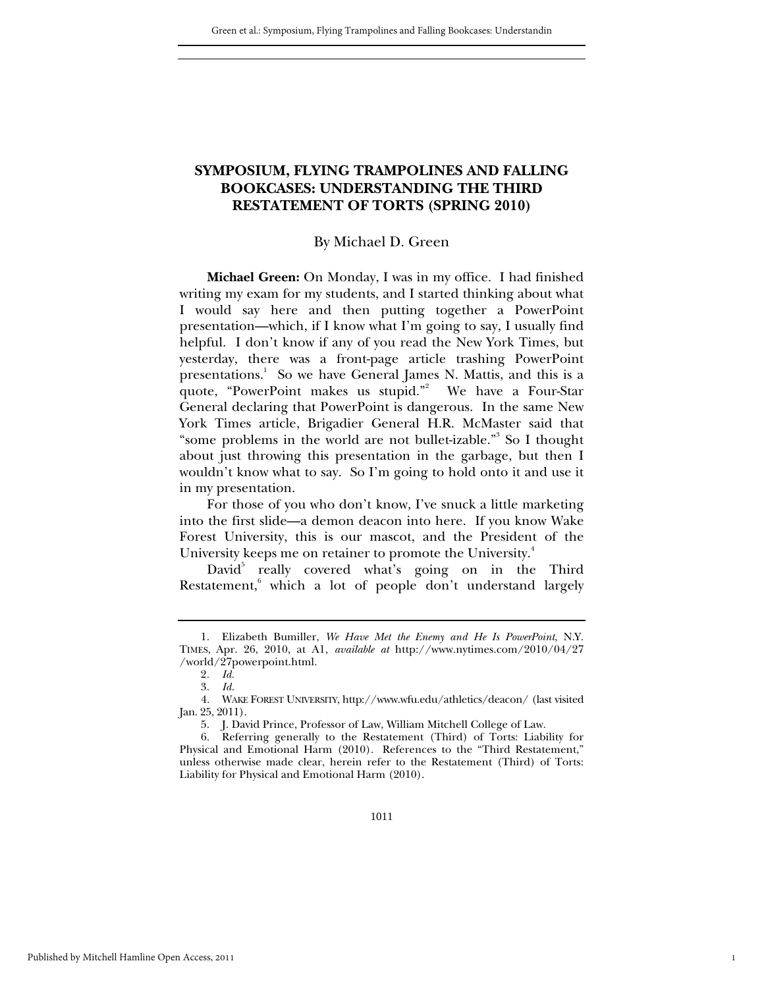### **SYMPOSIUM, FLYING TRAMPOLINES AND FALLING BOOKCASES: UNDERSTANDING THE THIRD RESTATEMENT OF TORTS (SPRING 2010)**

#### By Michael D. Green

**Michael Green:** On Monday, I was in my office. I had finished writing my exam for my students, and I started thinking about what I would say here and then putting together a PowerPoint presentation—which, if I know what I'm going to say, I usually find helpful. I don't know if any of you read the New York Times, but yesterday, there was a front-page article trashing PowerPoint presentations.<sup>1</sup> So we have General James N. Mattis, and this is a quote, "PowerPoint makes us stupid."<sup>2</sup> We have a Four-Star General declaring that PowerPoint is dangerous. In the same New York Times article, Brigadier General H.R. McMaster said that "some problems in the world are not bullet-izable."<sup>3</sup> So I thought about just throwing this presentation in the garbage, but then I wouldn't know what to say. So I'm going to hold onto it and use it in my presentation.

For those of you who don't know, I've snuck a little marketing into the first slide—a demon deacon into here. If you know Wake Forest University, this is our mascot, and the President of the University keeps me on retainer to promote the University.<sup>4</sup>

David<sup>5</sup> really covered what's going on in the Third Restatement,<sup>6</sup> which a lot of people don't understand largely

1

 <sup>1.</sup> Elizabeth Bumiller, *We Have Met the Enemy and He Is PowerPoint*, N.Y. TIMES, Apr. 26, 2010, at A1, *available at* http://www.nytimes.com/2010/04/27 /world/27powerpoint.html.

<sup>2</sup>*. Id.*

<sup>3</sup>*. Id.*

 <sup>4.</sup> WAKE FOREST UNIVERSITY, http://www.wfu.edu/athletics/deacon/ (last visited Jan. 25, 2011).

 <sup>5.</sup> J. David Prince, Professor of Law, William Mitchell College of Law.

 <sup>6.</sup> Referring generally to the Restatement (Third) of Torts: Liability for Physical and Emotional Harm (2010). References to the "Third Restatement," unless otherwise made clear, herein refer to the Restatement (Third) of Torts: Liability for Physical and Emotional Harm (2010).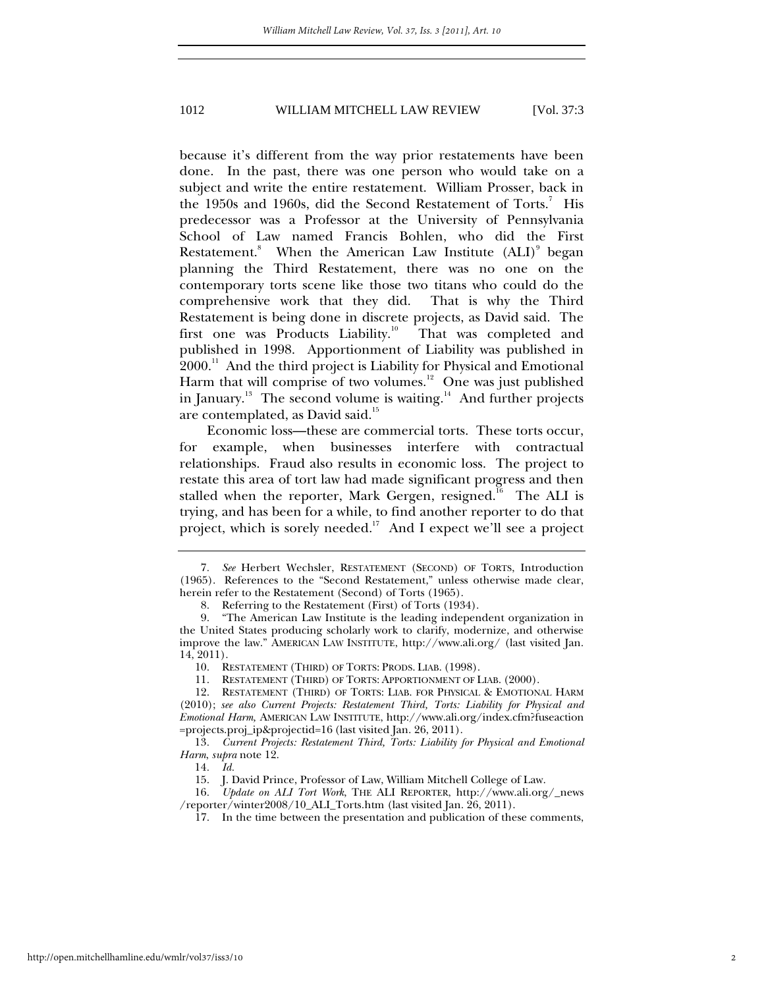because it's different from the way prior restatements have been done. In the past, there was one person who would take on a subject and write the entire restatement. William Prosser, back in the 1950s and 1960s, did the Second Restatement of Torts. $^7$  His predecessor was a Professor at the University of Pennsylvania School of Law named Francis Bohlen, who did the First Restatement.<sup>8</sup> When the American Law Institute (ALI)<sup>9</sup> began planning the Third Restatement, there was no one on the contemporary torts scene like those two titans who could do the comprehensive work that they did. That is why the Third Restatement is being done in discrete projects, as David said. The first one was Products Liability.<sup>10</sup> That was completed and published in 1998. Apportionment of Liability was published in 2000.<sup>11</sup> And the third project is Liability for Physical and Emotional Harm that will comprise of two volumes.<sup>12</sup> One was just published in January.<sup>13</sup> The second volume is waiting.<sup>14</sup> And further projects are contemplated, as David said.<sup>15</sup>

Economic loss—these are commercial torts. These torts occur, for example, when businesses interfere with contractual relationships. Fraud also results in economic loss. The project to restate this area of tort law had made significant progress and then stalled when the reporter, Mark Gergen, resigned.<sup>16</sup> The ALI is trying, and has been for a while, to find another reporter to do that project, which is sorely needed.<sup>17</sup> And I expect we'll see a project

<sup>7</sup>*. See* Herbert Wechsler, RESTATEMENT (SECOND) OF TORTS, Introduction (1965). References to the "Second Restatement," unless otherwise made clear, herein refer to the Restatement (Second) of Torts (1965).

 <sup>8.</sup> Referring to the Restatement (First) of Torts (1934).

 <sup>9. &</sup>quot;The American Law Institute is the leading independent organization in the United States producing scholarly work to clarify, modernize, and otherwise improve the law." AMERICAN LAW INSTITUTE, http://www.ali.org/ (last visited Jan. 14, 2011).

 <sup>10.</sup> RESTATEMENT (THIRD) OF TORTS: PRODS. LIAB. (1998).

 <sup>11.</sup> RESTATEMENT (THIRD) OF TORTS: APPORTIONMENT OF LIAB. (2000).

 <sup>12.</sup> RESTATEMENT (THIRD) OF TORTS: LIAB. FOR PHYSICAL & EMOTIONAL HARM (2010); *see also Current Projects: Restatement Third, Torts: Liability for Physical and Emotional Harm,* AMERICAN LAW INSTITUTE, http://www.ali.org/index.cfm?fuseaction =projects.proj\_ip&projectid=16 (last visited Jan. 26, 2011).

<sup>13</sup>*. Current Projects: Restatement Third, Torts: Liability for Physical and Emotional Harm*, *supra* note 12.

<sup>14</sup>*. Id.*

 <sup>15.</sup> J. David Prince, Professor of Law, William Mitchell College of Law.

<sup>16</sup>*. Update on ALI Tort Work*, THE ALI REPORTER, http://www.ali.org/\_news /reporter/winter2008/10\_ALI\_Torts.htm (last visited Jan. 26, 2011).

 <sup>17.</sup> In the time between the presentation and publication of these comments,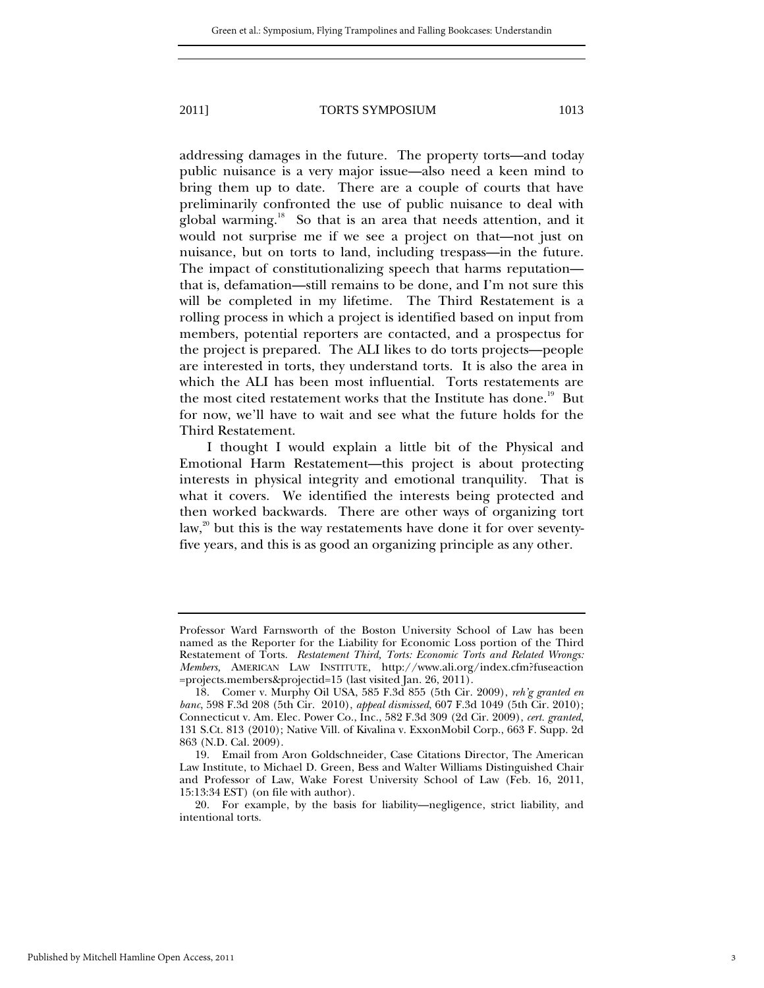addressing damages in the future. The property torts—and today public nuisance is a very major issue—also need a keen mind to bring them up to date. There are a couple of courts that have preliminarily confronted the use of public nuisance to deal with global warming.<sup>18</sup> So that is an area that needs attention, and it would not surprise me if we see a project on that—not just on nuisance, but on torts to land, including trespass—in the future. The impact of constitutionalizing speech that harms reputation that is, defamation—still remains to be done, and I'm not sure this will be completed in my lifetime. The Third Restatement is a rolling process in which a project is identified based on input from members, potential reporters are contacted, and a prospectus for the project is prepared. The ALI likes to do torts projects—people are interested in torts, they understand torts. It is also the area in which the ALI has been most influential. Torts restatements are the most cited restatement works that the Institute has done.<sup>19</sup> But for now, we'll have to wait and see what the future holds for the Third Restatement.

I thought I would explain a little bit of the Physical and Emotional Harm Restatement—this project is about protecting interests in physical integrity and emotional tranquility. That is what it covers. We identified the interests being protected and then worked backwards. There are other ways of organizing tort law, $2<sup>20</sup>$  but this is the way restatements have done it for over seventyfive years, and this is as good an organizing principle as any other.

Professor Ward Farnsworth of the Boston University School of Law has been named as the Reporter for the Liability for Economic Loss portion of the Third Restatement of Torts. *Restatement Third, Torts: Economic Torts and Related Wrongs: Members,* AMERICAN LAW INSTITUTE, http://www.ali.org/index.cfm?fuseaction =projects.members&projectid=15 (last visited Jan. 26, 2011).

 <sup>18.</sup> Comer v. Murphy Oil USA, 585 F.3d 855 (5th Cir. 2009), *reh'g granted en banc*, 598 F.3d 208 (5th Cir. 2010), *appeal dismissed*, 607 F.3d 1049 (5th Cir. 2010); Connecticut v. Am. Elec. Power Co., Inc., 582 F.3d 309 (2d Cir. 2009), *cert. granted*, 131 S.Ct. 813 (2010); Native Vill. of Kivalina v. ExxonMobil Corp., 663 F. Supp. 2d 863 (N.D. Cal. 2009).

 <sup>19.</sup> Email from Aron Goldschneider, Case Citations Director, The American Law Institute, to Michael D. Green, Bess and Walter Williams Distinguished Chair and Professor of Law, Wake Forest University School of Law (Feb. 16, 2011, 15:13:34 EST) (on file with author).

 <sup>20.</sup> For example, by the basis for liability—negligence, strict liability, and intentional torts.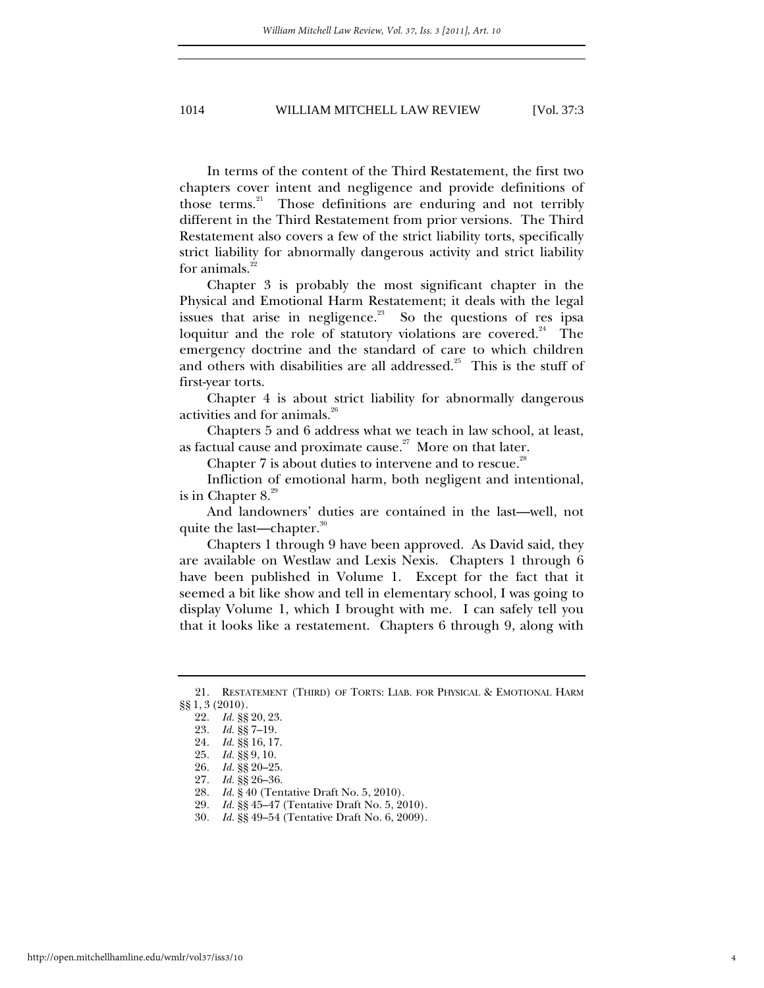In terms of the content of the Third Restatement, the first two chapters cover intent and negligence and provide definitions of those terms.<sup>21</sup> Those definitions are enduring and not terribly different in the Third Restatement from prior versions. The Third Restatement also covers a few of the strict liability torts, specifically strict liability for abnormally dangerous activity and strict liability for animals. $22$ 

Chapter 3 is probably the most significant chapter in the Physical and Emotional Harm Restatement; it deals with the legal issues that arise in negligence.<sup>23</sup> So the questions of res ipsa loquitur and the role of statutory violations are covered.<sup>24</sup> The emergency doctrine and the standard of care to which children and others with disabilities are all addressed. $25$  This is the stuff of first-year torts.

Chapter 4 is about strict liability for abnormally dangerous activities and for animals.<sup>26</sup>

Chapters 5 and 6 address what we teach in law school, at least, as factual cause and proximate cause. $27$  More on that later.

Chapter  $7$  is about duties to intervene and to rescue.<sup>28</sup>

Infliction of emotional harm, both negligent and intentional, is in Chapter  $8.^{29}$ 

And landowners' duties are contained in the last—well, not quite the last—chapter.<sup>30</sup>

Chapters 1 through 9 have been approved. As David said, they are available on Westlaw and Lexis Nexis. Chapters 1 through 6 have been published in Volume 1. Except for the fact that it seemed a bit like show and tell in elementary school, I was going to display Volume 1, which I brought with me. I can safely tell you that it looks like a restatement. Chapters 6 through 9, along with

 <sup>21.</sup> RESTATEMENT (THIRD) OF TORTS: LIAB. FOR PHYSICAL & EMOTIONAL HARM §§ 1, 3 (2010).

<sup>22</sup>*. Id.* §§ 20, 23.

<sup>23</sup>*. Id.* §§ 7–19.

<sup>24</sup>*. Id.* §§ 16, 17.

<sup>25</sup>*. Id.* §§ 9, 10.

<sup>26</sup>*. Id.* §§ 20–25.

<sup>27</sup>*. Id.* §§ 26–36.

<sup>28</sup>*. Id.* § 40 (Tentative Draft No. 5, 2010).

<sup>29</sup>*. Id.* §§ 45–47 (Tentative Draft No. 5, 2010).

<sup>30</sup>*. Id.* §§ 49–54 (Tentative Draft No. 6, 2009).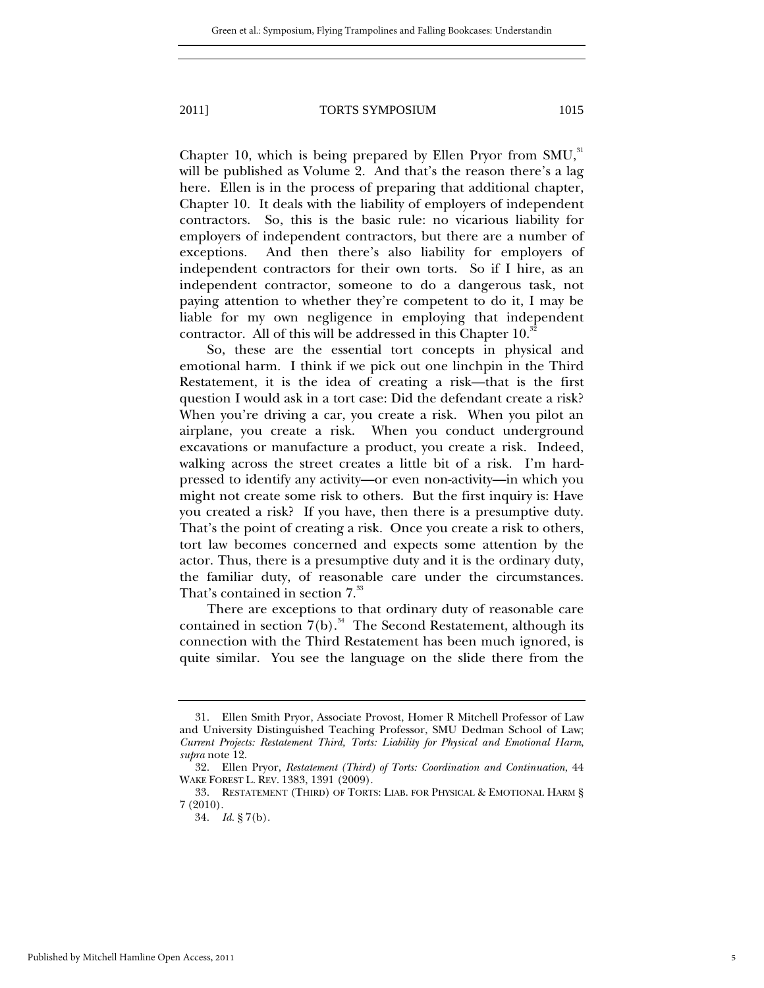Chapter 10, which is being prepared by Ellen Pryor from  $SMU$ ,<sup>31</sup>, will be published as Volume 2. And that's the reason there's a lag here. Ellen is in the process of preparing that additional chapter, Chapter 10. It deals with the liability of employers of independent contractors. So, this is the basic rule: no vicarious liability for employers of independent contractors, but there are a number of exceptions. And then there's also liability for employers of independent contractors for their own torts. So if I hire, as an independent contractor, someone to do a dangerous task, not paying attention to whether they're competent to do it, I may be liable for my own negligence in employing that independent contractor. All of this will be addressed in this Chapter  $10.^{32}$ 

So, these are the essential tort concepts in physical and emotional harm. I think if we pick out one linchpin in the Third Restatement, it is the idea of creating a risk—that is the first question I would ask in a tort case: Did the defendant create a risk? When you're driving a car, you create a risk. When you pilot an airplane, you create a risk. When you conduct underground excavations or manufacture a product, you create a risk. Indeed, walking across the street creates a little bit of a risk. I'm hardpressed to identify any activity—or even non-activity—in which you might not create some risk to others. But the first inquiry is: Have you created a risk? If you have, then there is a presumptive duty. That's the point of creating a risk. Once you create a risk to others, tort law becomes concerned and expects some attention by the actor. Thus, there is a presumptive duty and it is the ordinary duty, the familiar duty, of reasonable care under the circumstances. That's contained in section  $7.^{33}$ 

There are exceptions to that ordinary duty of reasonable care contained in section  $7(b)$ .<sup>34</sup> The Second Restatement, although its connection with the Third Restatement has been much ignored, is quite similar. You see the language on the slide there from the

 <sup>31.</sup> Ellen Smith Pryor, Associate Provost, Homer R Mitchell Professor of Law and University Distinguished Teaching Professor, SMU Dedman School of Law; *Current Projects: Restatement Third, Torts: Liability for Physical and Emotional Harm*, *supra* note 12.

 <sup>32.</sup> Ellen Pryor, *Restatement (Third) of Torts: Coordination and Continuation*, 44 WAKE FOREST L. REV. 1383, 1391 (2009).

 <sup>33.</sup> RESTATEMENT (THIRD) OF TORTS: LIAB. FOR PHYSICAL & EMOTIONAL HARM § 7 (2010).

<sup>34</sup>*. Id.* § 7(b).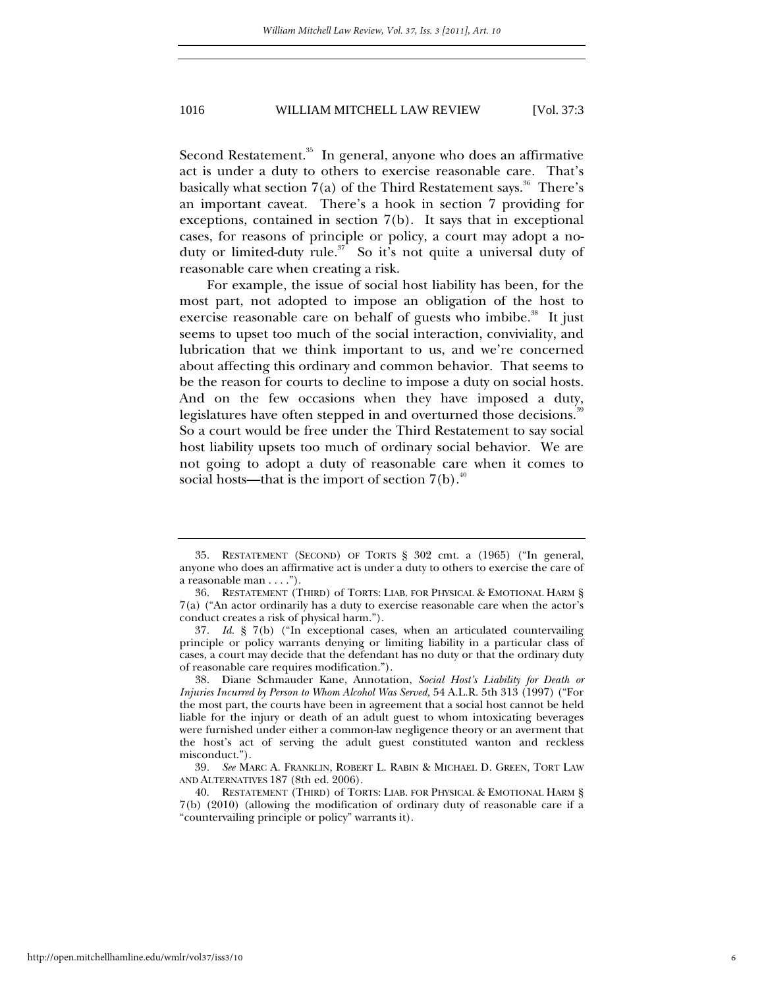Second Restatement.<sup>35</sup> In general, anyone who does an affirmative act is under a duty to others to exercise reasonable care. That's basically what section  $7(a)$  of the Third Restatement says.<sup>36</sup> There's an important caveat. There's a hook in section 7 providing for exceptions, contained in section 7(b). It says that in exceptional cases, for reasons of principle or policy, a court may adopt a noduty or limited-duty rule.<sup>37</sup> So it's not quite a universal duty of reasonable care when creating a risk.

For example, the issue of social host liability has been, for the most part, not adopted to impose an obligation of the host to exercise reasonable care on behalf of guests who imbibe.<sup>38</sup> It just seems to upset too much of the social interaction, conviviality, and lubrication that we think important to us, and we're concerned about affecting this ordinary and common behavior. That seems to be the reason for courts to decline to impose a duty on social hosts. And on the few occasions when they have imposed a duty, legislatures have often stepped in and overturned those decisions.<sup>39</sup> So a court would be free under the Third Restatement to say social host liability upsets too much of ordinary social behavior. We are not going to adopt a duty of reasonable care when it comes to social hosts—that is the import of section  $7(b)$ .<sup>40</sup>

 <sup>35.</sup> RESTATEMENT (SECOND) OF TORTS § 302 cmt. a (1965) ("In general, anyone who does an affirmative act is under a duty to others to exercise the care of a reasonable man . . . .").

 <sup>36.</sup> RESTATEMENT (THIRD) of TORTS: LIAB. FOR PHYSICAL & EMOTIONAL HARM § 7(a) ("An actor ordinarily has a duty to exercise reasonable care when the actor's conduct creates a risk of physical harm.").

<sup>37</sup>*. Id.* § 7(b) ("In exceptional cases, when an articulated countervailing principle or policy warrants denying or limiting liability in a particular class of cases, a court may decide that the defendant has no duty or that the ordinary duty of reasonable care requires modification.").

 <sup>38.</sup> Diane Schmauder Kane, Annotation, *Social Host's Liability for Death or Injuries Incurred by Person to Whom Alcohol Was Served,* 54 A.L.R. 5th 313 (1997) ("For the most part, the courts have been in agreement that a social host cannot be held liable for the injury or death of an adult guest to whom intoxicating beverages were furnished under either a common-law negligence theory or an averment that the host's act of serving the adult guest constituted wanton and reckless misconduct.").

<sup>39</sup>*. See* MARC A. FRANKLIN, ROBERT L. RABIN & MICHAEL D. GREEN, TORT LAW AND ALTERNATIVES 187 (8th ed. 2006).

 <sup>40.</sup> RESTATEMENT (THIRD) of TORTS: LIAB. FOR PHYSICAL & EMOTIONAL HARM § 7(b) (2010) (allowing the modification of ordinary duty of reasonable care if a "countervailing principle or policy" warrants it).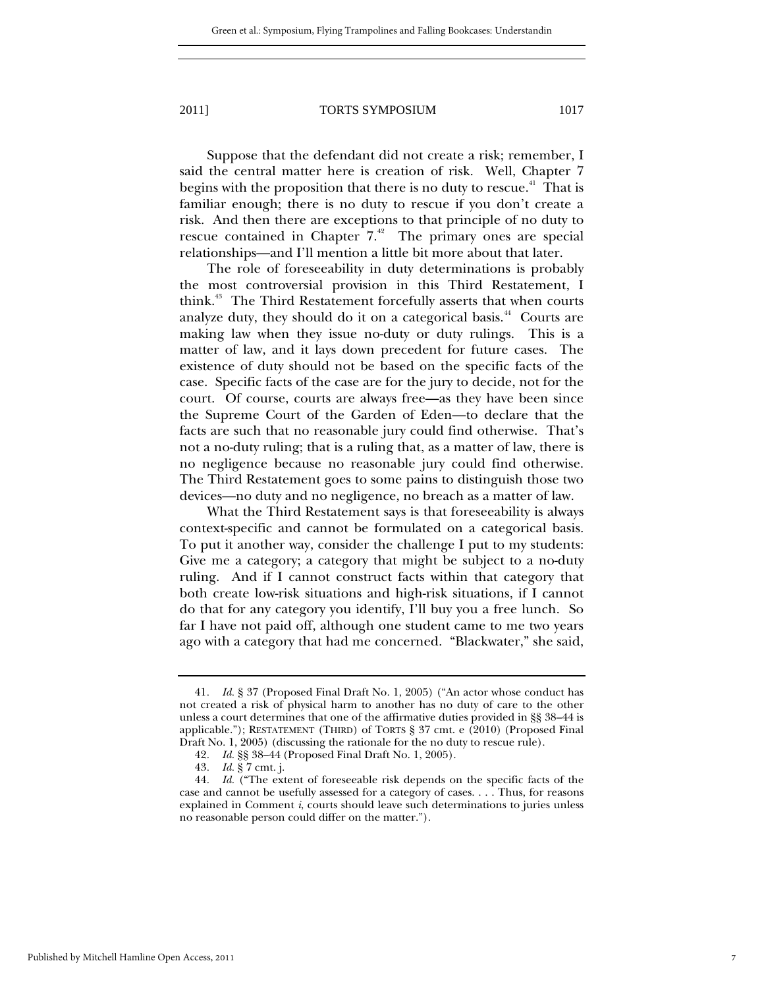Suppose that the defendant did not create a risk; remember, I said the central matter here is creation of risk. Well, Chapter 7 begins with the proposition that there is no duty to rescue. $41$  That is familiar enough; there is no duty to rescue if you don't create a risk. And then there are exceptions to that principle of no duty to rescue contained in Chapter  $7<sup>42</sup>$  The primary ones are special relationships—and I'll mention a little bit more about that later.

The role of foreseeability in duty determinations is probably the most controversial provision in this Third Restatement, I think.<sup>43</sup> The Third Restatement forcefully asserts that when courts analyze duty, they should do it on a categorical basis.<sup>44</sup> Courts are making law when they issue no-duty or duty rulings. This is a matter of law, and it lays down precedent for future cases. The existence of duty should not be based on the specific facts of the case. Specific facts of the case are for the jury to decide, not for the court. Of course, courts are always free—as they have been since the Supreme Court of the Garden of Eden—to declare that the facts are such that no reasonable jury could find otherwise. That's not a no-duty ruling; that is a ruling that, as a matter of law, there is no negligence because no reasonable jury could find otherwise. The Third Restatement goes to some pains to distinguish those two devices—no duty and no negligence, no breach as a matter of law.

What the Third Restatement says is that foreseeability is always context-specific and cannot be formulated on a categorical basis. To put it another way, consider the challenge I put to my students: Give me a category; a category that might be subject to a no-duty ruling. And if I cannot construct facts within that category that both create low-risk situations and high-risk situations, if I cannot do that for any category you identify, I'll buy you a free lunch. So far I have not paid off, although one student came to me two years ago with a category that had me concerned. "Blackwater," she said,

<sup>41</sup>*. Id.* § 37 (Proposed Final Draft No. 1, 2005) ("An actor whose conduct has not created a risk of physical harm to another has no duty of care to the other unless a court determines that one of the affirmative duties provided in §§ 38–44 is applicable."); RESTATEMENT (THIRD) of TORTS § 37 cmt. e (2010) (Proposed Final Draft No. 1, 2005) (discussing the rationale for the no duty to rescue rule).

<sup>42</sup>*. Id.* §§ 38–44 (Proposed Final Draft No. 1, 2005).

<sup>43</sup>*. Id.* § 7 cmt. j.

<sup>44</sup>*. Id.* ("The extent of foreseeable risk depends on the specific facts of the case and cannot be usefully assessed for a category of cases. . . . Thus, for reasons explained in Comment *i*, courts should leave such determinations to juries unless no reasonable person could differ on the matter.").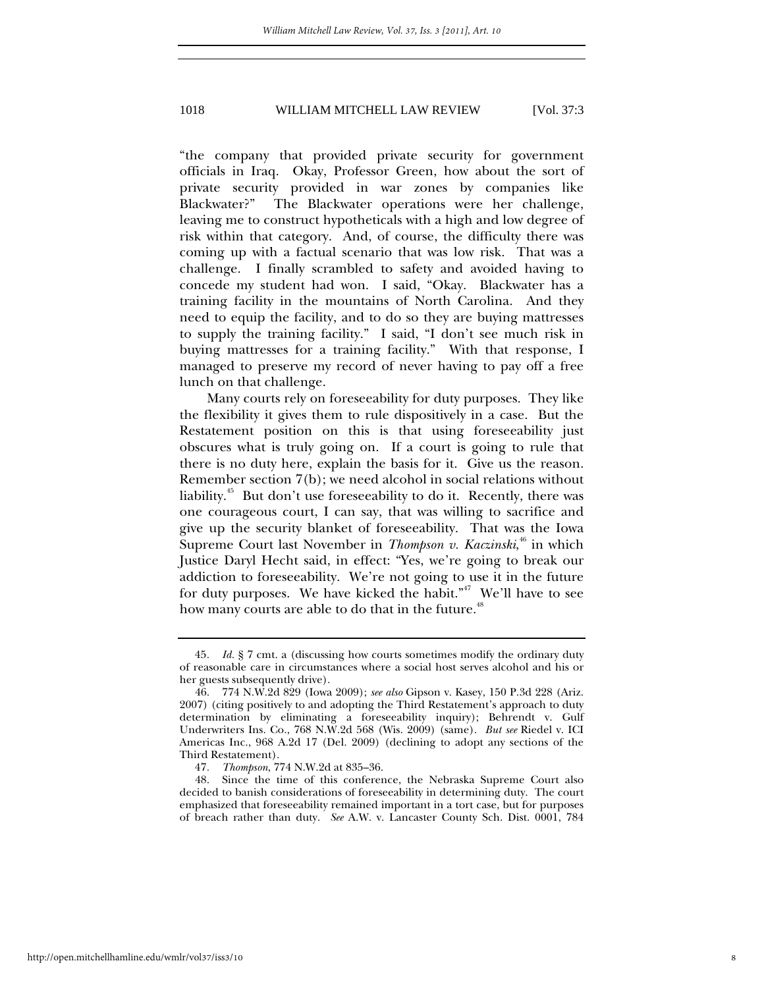"the company that provided private security for government officials in Iraq. Okay, Professor Green, how about the sort of private security provided in war zones by companies like Blackwater?" The Blackwater operations were her challenge, leaving me to construct hypotheticals with a high and low degree of risk within that category. And, of course, the difficulty there was coming up with a factual scenario that was low risk. That was a challenge. I finally scrambled to safety and avoided having to concede my student had won. I said, "Okay. Blackwater has a training facility in the mountains of North Carolina. And they need to equip the facility, and to do so they are buying mattresses to supply the training facility." I said, "I don't see much risk in buying mattresses for a training facility." With that response, I managed to preserve my record of never having to pay off a free lunch on that challenge.

Many courts rely on foreseeability for duty purposes. They like the flexibility it gives them to rule dispositively in a case. But the Restatement position on this is that using foreseeability just obscures what is truly going on. If a court is going to rule that there is no duty here, explain the basis for it. Give us the reason. Remember section 7(b); we need alcohol in social relations without liability.<sup>45</sup> But don't use foreseeability to do it. Recently, there was one courageous court, I can say, that was willing to sacrifice and give up the security blanket of foreseeability. That was the Iowa Supreme Court last November in *Thompson v. Kaczinski*,<sup>46</sup> in which Justice Daryl Hecht said, in effect: "Yes, we're going to break our addiction to foreseeability. We're not going to use it in the future for duty purposes. We have kicked the habit."<sup>47</sup> We'll have to see how many courts are able to do that in the future.<sup>48</sup>

<sup>45</sup>*. Id.* § 7 cmt. a (discussing how courts sometimes modify the ordinary duty of reasonable care in circumstances where a social host serves alcohol and his or her guests subsequently drive).

 <sup>46. 774</sup> N.W.2d 829 (Iowa 2009); *see also* Gipson v. Kasey, 150 P.3d 228 (Ariz. 2007) (citing positively to and adopting the Third Restatement's approach to duty determination by eliminating a foreseeability inquiry); Behrendt v. Gulf Underwriters Ins. Co., 768 N.W.2d 568 (Wis. 2009) (same). *But see* Riedel v. ICI Americas Inc., 968 A.2d 17 (Del. 2009) (declining to adopt any sections of the Third Restatement).

<sup>47</sup>*. Thompson*, 774 N.W.2d at 835–36.

 <sup>48.</sup> Since the time of this conference, the Nebraska Supreme Court also decided to banish considerations of foreseeability in determining duty. The court emphasized that foreseeability remained important in a tort case, but for purposes of breach rather than duty. *See* A.W. v. Lancaster County Sch. Dist. 0001, 784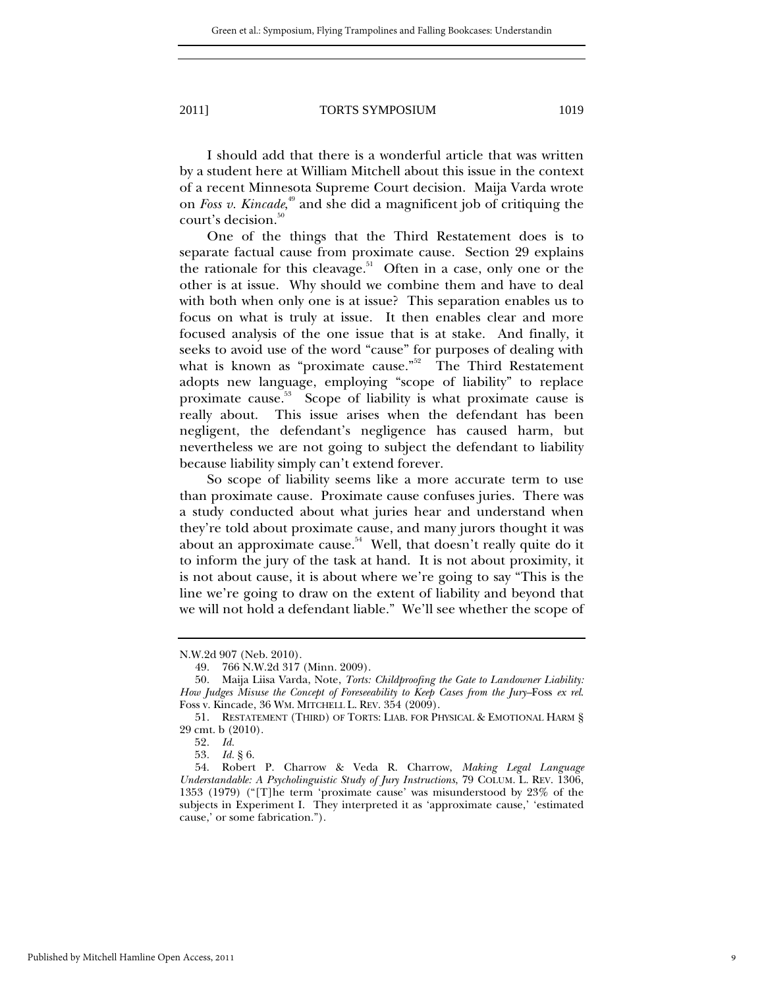I should add that there is a wonderful article that was written by a student here at William Mitchell about this issue in the context of a recent Minnesota Supreme Court decision. Maija Varda wrote on *Foss v. Kincade*, 49 and she did a magnificent job of critiquing the court's decision.<sup>50</sup>

One of the things that the Third Restatement does is to separate factual cause from proximate cause. Section 29 explains the rationale for this cleavage.<sup>51</sup> Often in a case, only one or the other is at issue. Why should we combine them and have to deal with both when only one is at issue? This separation enables us to focus on what is truly at issue. It then enables clear and more focused analysis of the one issue that is at stake. And finally, it seeks to avoid use of the word "cause" for purposes of dealing with what is known as "proximate cause." The Third Restatement adopts new language, employing "scope of liability" to replace proximate cause.53 Scope of liability is what proximate cause is really about. This issue arises when the defendant has been negligent, the defendant's negligence has caused harm, but nevertheless we are not going to subject the defendant to liability because liability simply can't extend forever.

So scope of liability seems like a more accurate term to use than proximate cause. Proximate cause confuses juries. There was a study conducted about what juries hear and understand when they're told about proximate cause, and many jurors thought it was about an approximate cause. $54$  Well, that doesn't really quite do it to inform the jury of the task at hand. It is not about proximity, it is not about cause, it is about where we're going to say "This is the line we're going to draw on the extent of liability and beyond that we will not hold a defendant liable." We'll see whether the scope of

N.W.2d 907 (Neb. 2010).

 <sup>49. 766</sup> N.W.2d 317 (Minn. 2009).

 <sup>50.</sup> Maija Liisa Varda, Note, *Torts: Childproofing the Gate to Landowner Liability: How Judges Misuse the Concept of Foreseeability to Keep Cases from the Jury–*Foss *ex rel*. Foss v. Kincade, 36 WM. MITCHELL L. REV. 354 (2009).

 <sup>51.</sup> RESTATEMENT (THIRD) OF TORTS: LIAB. FOR PHYSICAL & EMOTIONAL HARM § 29 cmt. b (2010).

<sup>52</sup>*. Id.*

<sup>53</sup>*. Id.* § 6.

 <sup>54.</sup> Robert P. Charrow & Veda R. Charrow, *Making Legal Language Understandable: A Psycholinguistic Study of Jury Instructions*, 79 COLUM. L. REV. 1306, 1353 (1979) ("[T]he term 'proximate cause' was misunderstood by 23% of the subjects in Experiment I. They interpreted it as 'approximate cause,' 'estimated cause,' or some fabrication.").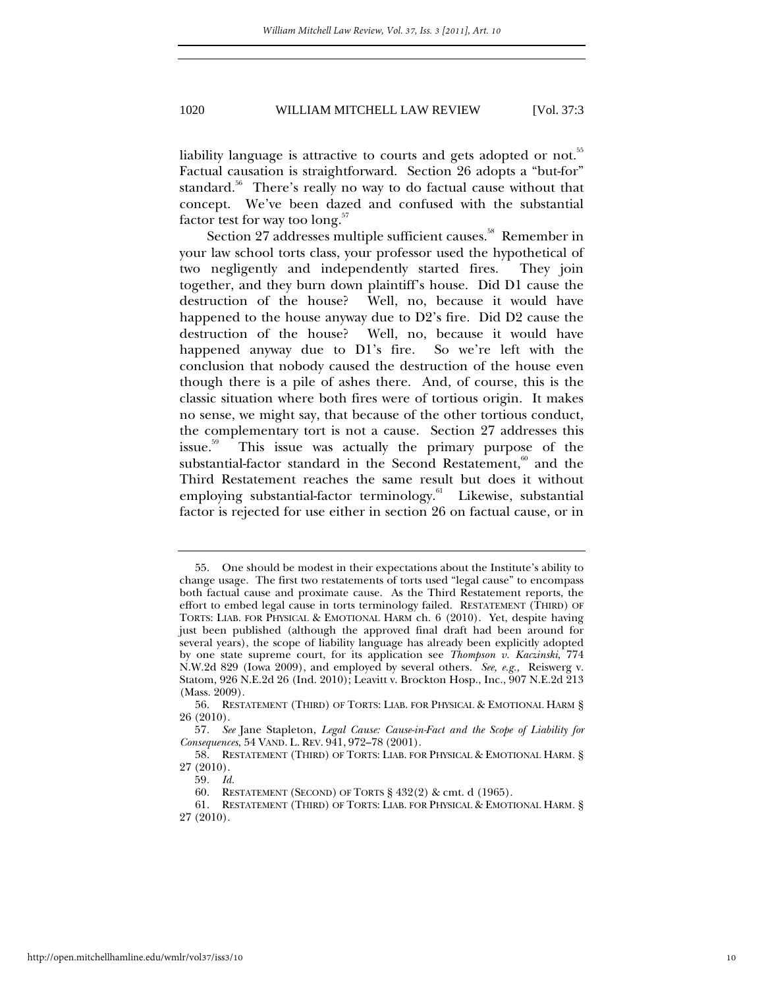liability language is attractive to courts and gets adopted or not.<sup>55</sup> Factual causation is straightforward. Section 26 adopts a "but-for" standard.<sup>56</sup> There's really no way to do factual cause without that concept. We've been dazed and confused with the substantial factor test for way too  $\text{long.}^{57}$ 

Section 27 addresses multiple sufficient causes.<sup>58</sup> Remember in your law school torts class, your professor used the hypothetical of two negligently and independently started fires. They join together, and they burn down plaintiff's house. Did D1 cause the destruction of the house? Well, no, because it would have happened to the house anyway due to D2's fire. Did D2 cause the destruction of the house? Well, no, because it would have happened anyway due to D1's fire. So we're left with the conclusion that nobody caused the destruction of the house even though there is a pile of ashes there. And, of course, this is the classic situation where both fires were of tortious origin. It makes no sense, we might say, that because of the other tortious conduct, the complementary tort is not a cause. Section 27 addresses this issue.59 This issue was actually the primary purpose of the substantial-factor standard in the Second Restatement, $60$  and the Third Restatement reaches the same result but does it without employing substantial-factor terminology.<sup>61</sup> Likewise, substantial factor is rejected for use either in section 26 on factual cause, or in

 <sup>55.</sup> One should be modest in their expectations about the Institute's ability to change usage. The first two restatements of torts used "legal cause" to encompass both factual cause and proximate cause. As the Third Restatement reports, the effort to embed legal cause in torts terminology failed. RESTATEMENT (THIRD) OF TORTS: LIAB. FOR PHYSICAL & EMOTIONAL HARM ch. 6 (2010). Yet, despite having just been published (although the approved final draft had been around for several years), the scope of liability language has already been explicitly adopted by one state supreme court, for its application see *Thompson v. Kaczinski*, 774 N.W.2d 829 (Iowa 2009), and employed by several others. *See, e.g.,* Reiswerg v. Statom, 926 N.E.2d 26 (Ind. 2010); Leavitt v. Brockton Hosp., Inc., 907 N.E.2d 213 (Mass. 2009).

 <sup>56.</sup> RESTATEMENT (THIRD) OF TORTS: LIAB. FOR PHYSICAL & EMOTIONAL HARM § 26 (2010).

<sup>57</sup>*. See* Jane Stapleton, *Legal Cause: Cause-in-Fact and the Scope of Liability for Consequences*, 54 VAND. L. REV. 941, 972–78 (2001).

 <sup>58.</sup> RESTATEMENT (THIRD) OF TORTS: LIAB. FOR PHYSICAL & EMOTIONAL HARM*.* § 27 (2010).

<sup>59</sup>*. Id.*

 <sup>60.</sup> RESTATEMENT (SECOND) OF TORTS § 432(2) & cmt. d (1965).

 <sup>61.</sup> RESTATEMENT (THIRD) OF TORTS: LIAB. FOR PHYSICAL & EMOTIONAL HARM*.* § 27 (2010).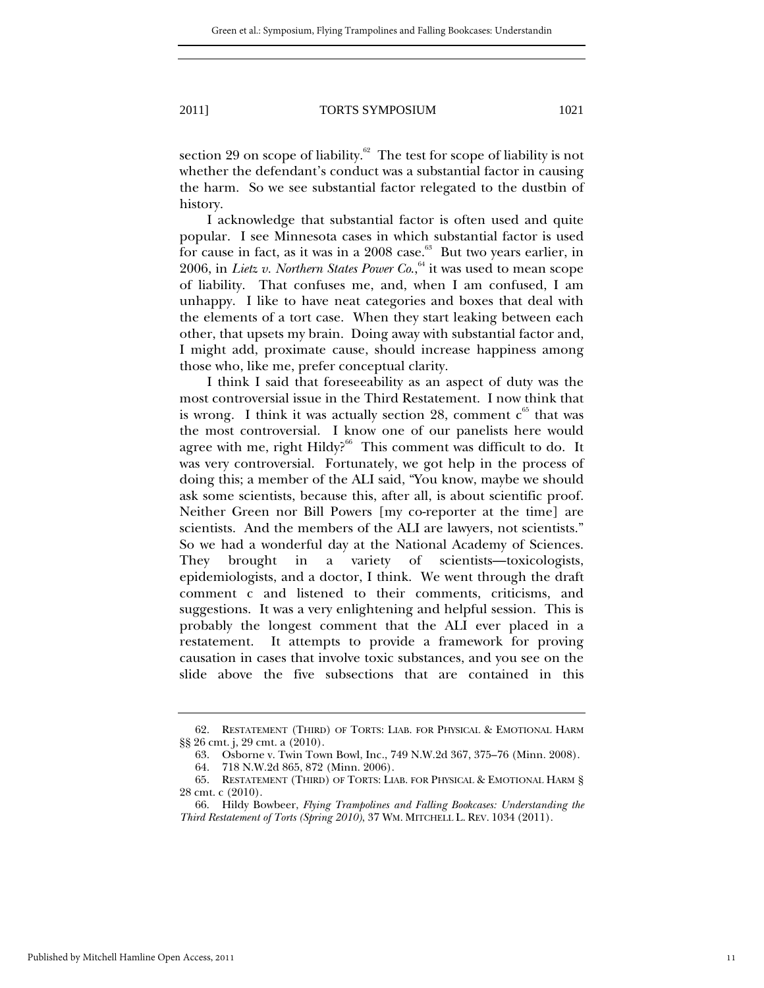section 29 on scope of liability. $62$  The test for scope of liability is not whether the defendant's conduct was a substantial factor in causing the harm. So we see substantial factor relegated to the dustbin of history.

I acknowledge that substantial factor is often used and quite popular. I see Minnesota cases in which substantial factor is used for cause in fact, as it was in a  $2008$  case.<sup>63</sup> But two years earlier, in 2006, in *Lietz v. Northern States Power Co.*,<sup>64</sup> it was used to mean scope of liability. That confuses me, and, when I am confused, I am unhappy. I like to have neat categories and boxes that deal with the elements of a tort case. When they start leaking between each other, that upsets my brain. Doing away with substantial factor and, I might add, proximate cause, should increase happiness among those who, like me, prefer conceptual clarity.

I think I said that foreseeability as an aspect of duty was the most controversial issue in the Third Restatement. I now think that is wrong. I think it was actually section 28, comment  $c^{65}$  that was the most controversial. I know one of our panelists here would agree with me, right Hildy?<sup>66</sup> This comment was difficult to do. It was very controversial. Fortunately, we got help in the process of doing this; a member of the ALI said, "You know, maybe we should ask some scientists, because this, after all, is about scientific proof. Neither Green nor Bill Powers [my co-reporter at the time] are scientists. And the members of the ALI are lawyers, not scientists." So we had a wonderful day at the National Academy of Sciences. They brought in a variety of scientists—toxicologists, epidemiologists, and a doctor, I think. We went through the draft comment c and listened to their comments, criticisms, and suggestions. It was a very enlightening and helpful session. This is probably the longest comment that the ALI ever placed in a restatement. It attempts to provide a framework for proving causation in cases that involve toxic substances, and you see on the slide above the five subsections that are contained in this

 <sup>62.</sup> RESTATEMENT (THIRD) OF TORTS: LIAB. FOR PHYSICAL & EMOTIONAL HARM §§ 26 cmt. j, 29 cmt. a (2010).

 <sup>63.</sup> Osborne v. Twin Town Bowl, Inc., 749 N.W.2d 367, 375–76 (Minn. 2008).

 <sup>64. 718</sup> N.W.2d 865, 872 (Minn. 2006).

 <sup>65.</sup> RESTATEMENT (THIRD) OF TORTS: LIAB. FOR PHYSICAL & EMOTIONAL HARM § 28 cmt. c (2010).

 <sup>66.</sup> Hildy Bowbeer, *Flying Trampolines and Falling Bookcases: Understanding the Third Restatement of Torts (Spring 2010)*, 37 WM. MITCHELL L. REV. 1034 (2011).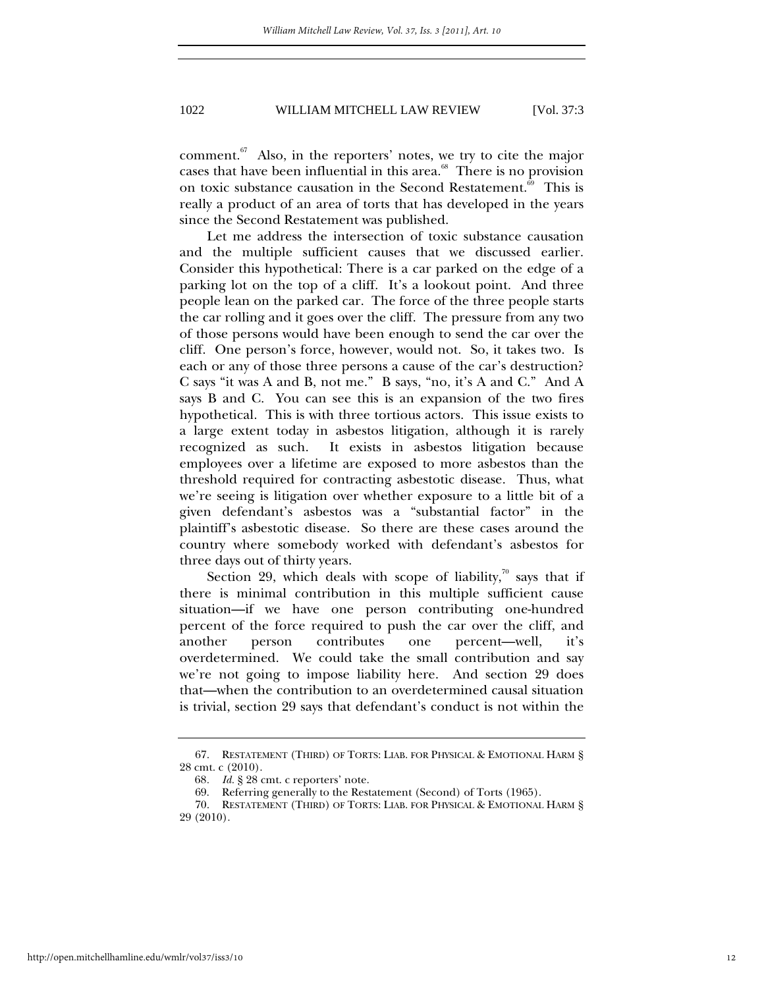comment.<sup>67</sup> Also, in the reporters' notes, we try to cite the major cases that have been influential in this area. $68$  There is no provision on toxic substance causation in the Second Restatement.<sup>69</sup> This is really a product of an area of torts that has developed in the years since the Second Restatement was published.

Let me address the intersection of toxic substance causation and the multiple sufficient causes that we discussed earlier. Consider this hypothetical: There is a car parked on the edge of a parking lot on the top of a cliff. It's a lookout point. And three people lean on the parked car. The force of the three people starts the car rolling and it goes over the cliff. The pressure from any two of those persons would have been enough to send the car over the cliff. One person's force, however, would not. So, it takes two. Is each or any of those three persons a cause of the car's destruction? C says "it was A and B, not me." B says, "no, it's A and C." And A says B and C. You can see this is an expansion of the two fires hypothetical. This is with three tortious actors. This issue exists to a large extent today in asbestos litigation, although it is rarely recognized as such. It exists in asbestos litigation because employees over a lifetime are exposed to more asbestos than the threshold required for contracting asbestotic disease. Thus, what we're seeing is litigation over whether exposure to a little bit of a given defendant's asbestos was a "substantial factor" in the plaintiff's asbestotic disease. So there are these cases around the country where somebody worked with defendant's asbestos for three days out of thirty years.

Section 29, which deals with scope of liability,<sup>70</sup> says that if there is minimal contribution in this multiple sufficient cause situation—if we have one person contributing one-hundred percent of the force required to push the car over the cliff, and another person contributes one percent—well, it's overdetermined. We could take the small contribution and say we're not going to impose liability here. And section 29 does that—when the contribution to an overdetermined causal situation is trivial, section 29 says that defendant's conduct is not within the

 <sup>67.</sup> RESTATEMENT (THIRD) OF TORTS: LIAB. FOR PHYSICAL & EMOTIONAL HARM § 28 cmt. c (2010).

<sup>68</sup>*. Id.* § 28 cmt. c reporters' note.

 <sup>69.</sup> Referring generally to the Restatement (Second) of Torts (1965).

 <sup>70.</sup> RESTATEMENT (THIRD) OF TORTS: LIAB. FOR PHYSICAL & EMOTIONAL HARM § 29 (2010).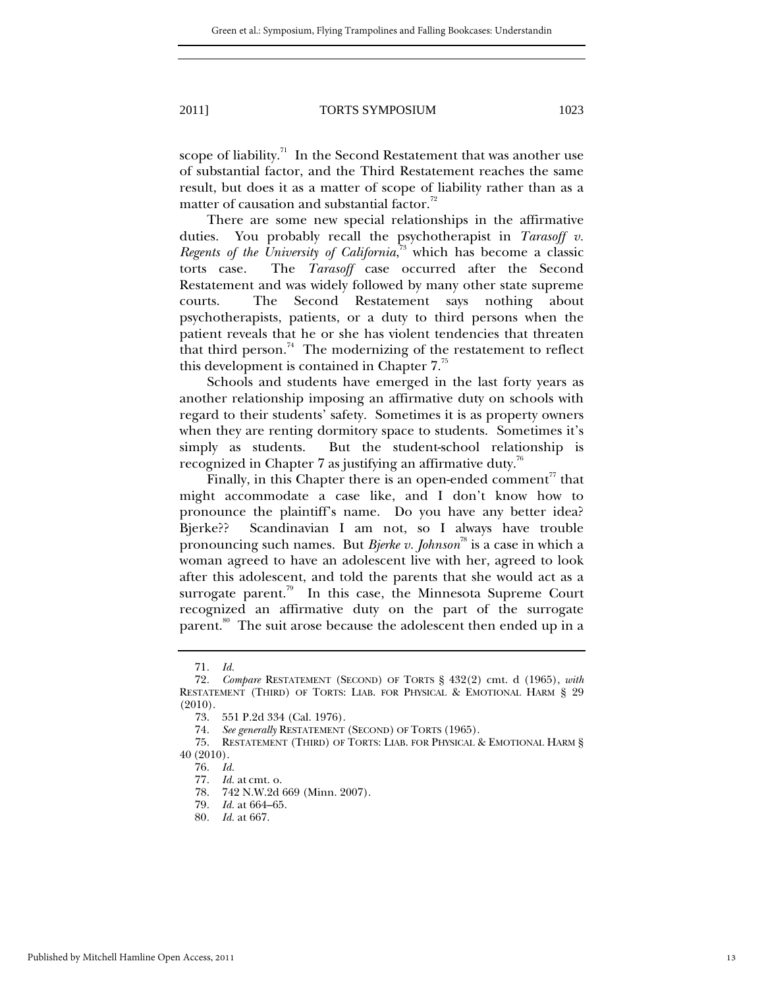scope of liability. $\frac{1}{1}$  In the Second Restatement that was another use of substantial factor, and the Third Restatement reaches the same result, but does it as a matter of scope of liability rather than as a matter of causation and substantial factor. $\frac{72}{2}$ 

There are some new special relationships in the affirmative duties. You probably recall the psychotherapist in *Tarasoff v. Regents of the University of California*, 73 which has become a classic torts case. The *Tarasoff* case occurred after the Second Restatement and was widely followed by many other state supreme courts. The Second Restatement says nothing about psychotherapists, patients, or a duty to third persons when the patient reveals that he or she has violent tendencies that threaten that third person.<sup>74</sup> The modernizing of the restatement to reflect this development is contained in Chapter  $7<sup>75</sup>$ 

Schools and students have emerged in the last forty years as another relationship imposing an affirmative duty on schools with regard to their students' safety. Sometimes it is as property owners when they are renting dormitory space to students. Sometimes it's simply as students. But the student-school relationship is recognized in Chapter 7 as justifying an affirmative duty.<sup>76</sup>

Finally, in this Chapter there is an open-ended comment<sup>77</sup> that might accommodate a case like, and I don't know how to pronounce the plaintiff's name. Do you have any better idea? Bjerke?? Scandinavian I am not, so I always have trouble pronouncing such names. But *Bjerke v. Johnson*<sup>78</sup> is a case in which a woman agreed to have an adolescent live with her, agreed to look after this adolescent, and told the parents that she would act as a surrogate parent. $\frac{79}{10}$  In this case, the Minnesota Supreme Court recognized an affirmative duty on the part of the surrogate parent.<sup>80</sup> The suit arose because the adolescent then ended up in a

<sup>71</sup>*. Id.*

<sup>72</sup>*. Compare* RESTATEMENT (SECOND) OF TORTS § 432(2) cmt. d (1965), *with*  RESTATEMENT (THIRD) OF TORTS: LIAB. FOR PHYSICAL & EMOTIONAL HARM § 29 (2010).

 <sup>73. 551</sup> P.2d 334 (Cal. 1976).

<sup>74</sup>*. See generally* RESTATEMENT (SECOND) OF TORTS (1965).

 <sup>75.</sup> RESTATEMENT (THIRD) OF TORTS: LIAB. FOR PHYSICAL & EMOTIONAL HARM § 40 (2010).

<sup>76</sup>*. Id.*

<sup>77</sup>*. Id.* at cmt. o.

 <sup>78. 742</sup> N.W.2d 669 (Minn. 2007).

<sup>79</sup>*. Id.* at 664–65.

<sup>80</sup>*. Id.* at 667.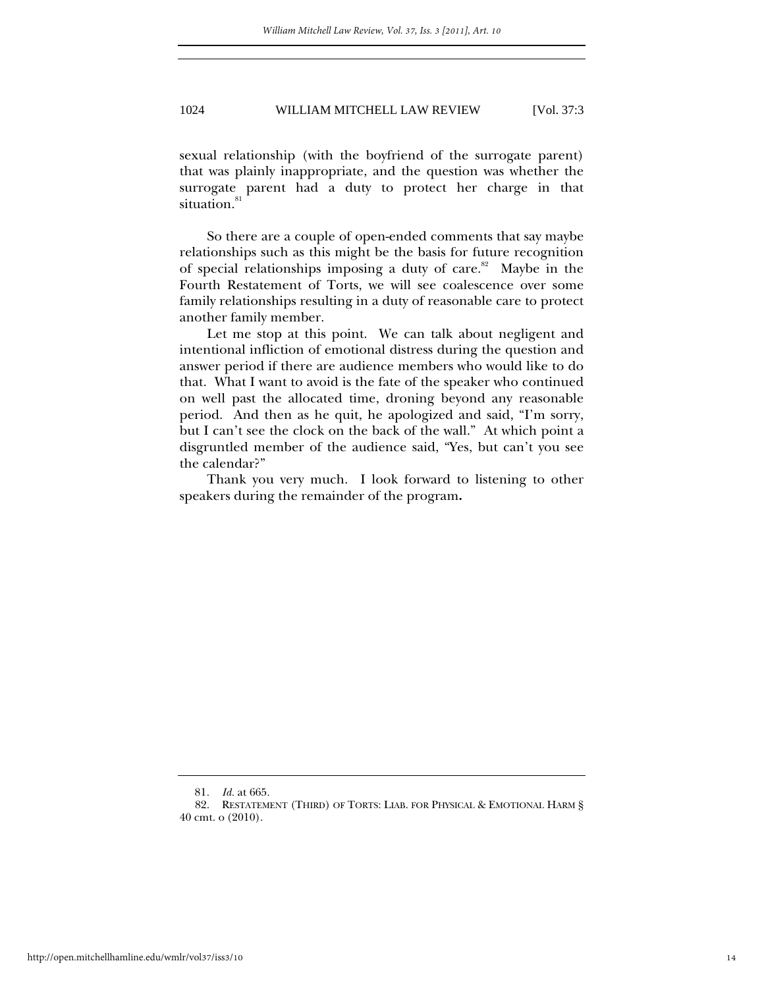sexual relationship (with the boyfriend of the surrogate parent) that was plainly inappropriate, and the question was whether the surrogate parent had a duty to protect her charge in that situation.<sup>81</sup>

So there are a couple of open-ended comments that say maybe relationships such as this might be the basis for future recognition of special relationships imposing a duty of care.<sup>82</sup> Maybe in the Fourth Restatement of Torts, we will see coalescence over some family relationships resulting in a duty of reasonable care to protect another family member.

Let me stop at this point. We can talk about negligent and intentional infliction of emotional distress during the question and answer period if there are audience members who would like to do that. What I want to avoid is the fate of the speaker who continued on well past the allocated time, droning beyond any reasonable period. And then as he quit, he apologized and said, "I'm sorry, but I can't see the clock on the back of the wall." At which point a disgruntled member of the audience said, "Yes, but can't you see the calendar?"

Thank you very much. I look forward to listening to other speakers during the remainder of the program**.**

<sup>81</sup>*. Id.* at 665.

 <sup>82.</sup> RESTATEMENT (THIRD) OF TORTS: LIAB. FOR PHYSICAL & EMOTIONAL HARM § 40 cmt. o (2010).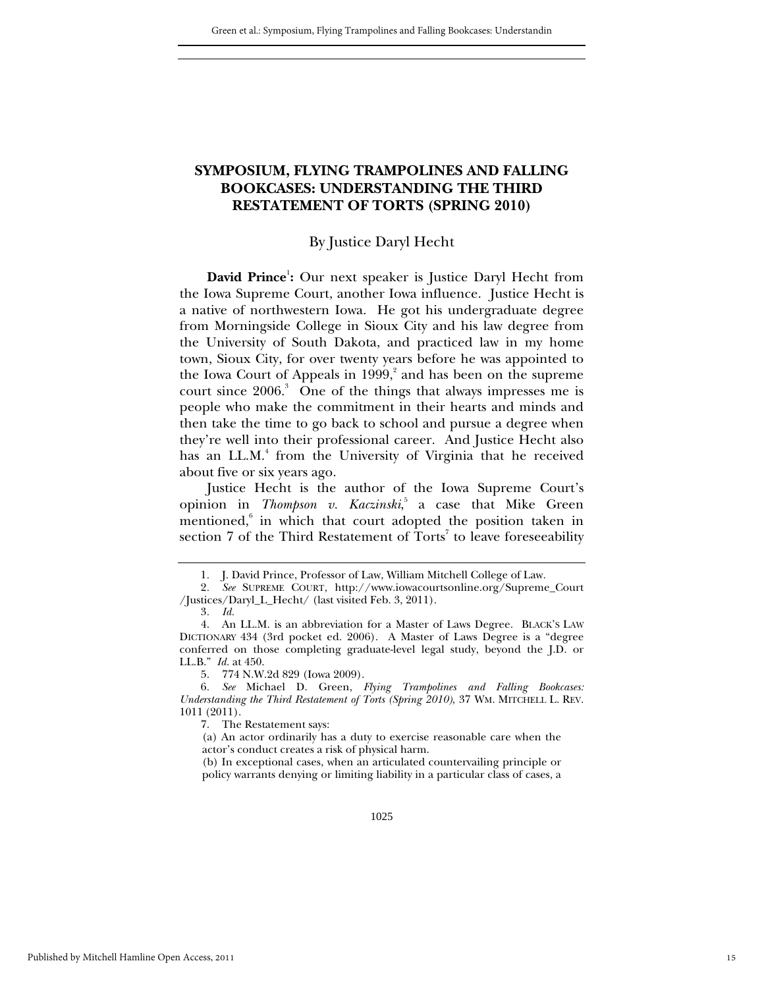### **SYMPOSIUM, FLYING TRAMPOLINES AND FALLING BOOKCASES: UNDERSTANDING THE THIRD RESTATEMENT OF TORTS (SPRING 2010)**

#### By Justice Daryl Hecht

David Prince<sup>1</sup>: Our next speaker is Justice Daryl Hecht from the Iowa Supreme Court, another Iowa influence. Justice Hecht is a native of northwestern Iowa. He got his undergraduate degree from Morningside College in Sioux City and his law degree from the University of South Dakota, and practiced law in my home town, Sioux City, for over twenty years before he was appointed to the Iowa Court of Appeals in 1999,<sup>2</sup> and has been on the supreme court since 2006.<sup>3</sup> One of the things that always impresses me is people who make the commitment in their hearts and minds and then take the time to go back to school and pursue a degree when they're well into their professional career. And Justice Hecht also has an LL.M.<sup>4</sup> from the University of Virginia that he received about five or six years ago.

Justice Hecht is the author of the Iowa Supreme Court's opinion in *Thompson v. Kaczinski*, 5 a case that Mike Green mentioned,<sup>6</sup> in which that court adopted the position taken in section  $7$  of the Third Restatement of Torts<sup>7</sup> to leave foreseeability

5. 774 N.W.2d 829 (Iowa 2009).

6*. See* Michael D. Green, *Flying Trampolines and Falling Bookcases: Understanding the Third Restatement of Torts (Spring 2010)*, 37 WM. MITCHELL L. REV. 1011 (2011).

7. The Restatement says:

(b) In exceptional cases, when an articulated countervailing principle or policy warrants denying or limiting liability in a particular class of cases, a

<sup>1</sup>*.* J. David Prince, Professor of Law, William Mitchell College of Law.

<sup>2</sup>*. See* SUPREME COURT, http://www.iowacourtsonline.org/Supreme\_Court /Justices/Daryl\_L\_Hecht/ (last visited Feb. 3, 2011).

<sup>3</sup>*. Id.*

 <sup>4.</sup> An LL.M. is an abbreviation for a Master of Laws Degree. BLACK'S LAW DICTIONARY 434 (3rd pocket ed. 2006). A Master of Laws Degree is a "degree conferred on those completing graduate-level legal study, beyond the J.D. or LL.B." *Id.* at 450.

<sup>(</sup>a) An actor ordinarily has a duty to exercise reasonable care when the actor's conduct creates a risk of physical harm.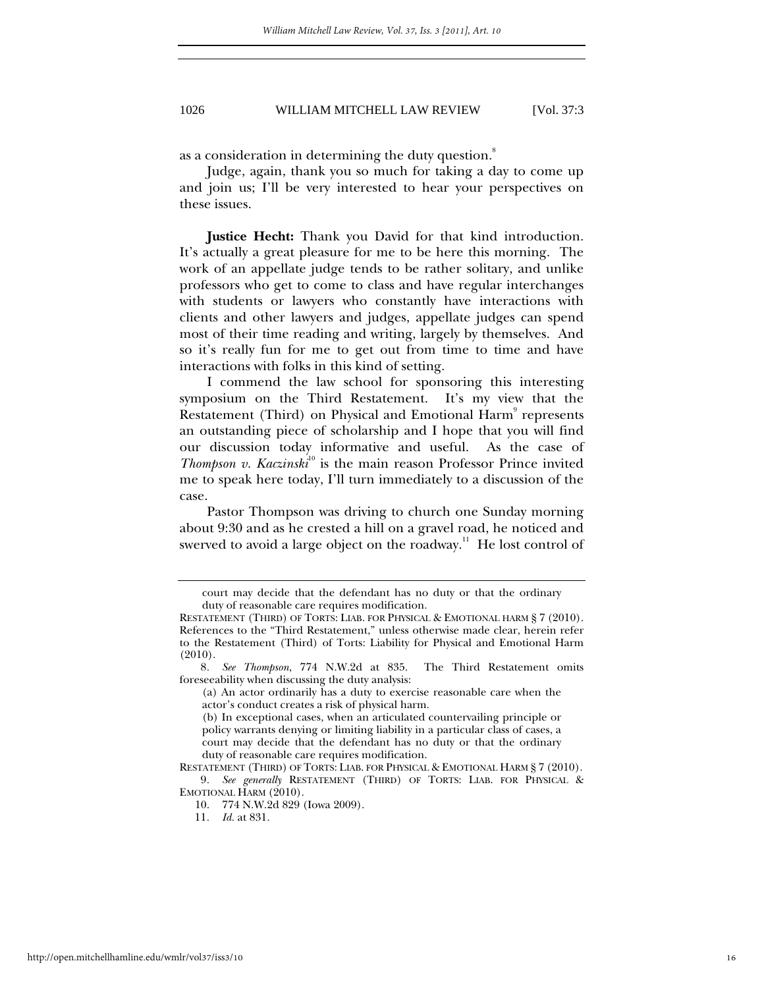as a consideration in determining the duty question.<sup>8</sup>

Judge, again, thank you so much for taking a day to come up and join us; I'll be very interested to hear your perspectives on these issues.

**Justice Hecht:** Thank you David for that kind introduction. It's actually a great pleasure for me to be here this morning. The work of an appellate judge tends to be rather solitary, and unlike professors who get to come to class and have regular interchanges with students or lawyers who constantly have interactions with clients and other lawyers and judges, appellate judges can spend most of their time reading and writing, largely by themselves. And so it's really fun for me to get out from time to time and have interactions with folks in this kind of setting.

I commend the law school for sponsoring this interesting symposium on the Third Restatement. It's my view that the Restatement (Third) on Physical and Emotional Harm<sup>9</sup> represents an outstanding piece of scholarship and I hope that you will find our discussion today informative and useful. As the case of *Thompson v. Kaczinski*<sup>10</sup> is the main reason Professor Prince invited me to speak here today, I'll turn immediately to a discussion of the case.

Pastor Thompson was driving to church one Sunday morning about 9:30 and as he crested a hill on a gravel road, he noticed and swerved to avoid a large object on the roadway.<sup>11</sup> He lost control of

court may decide that the defendant has no duty or that the ordinary duty of reasonable care requires modification.

RESTATEMENT (THIRD) OF TORTS: LIAB. FOR PHYSICAL & EMOTIONAL HARM § 7 (2010). References to the "Third Restatement," unless otherwise made clear, herein refer to the Restatement (Third) of Torts: Liability for Physical and Emotional Harm (2010).

<sup>8</sup>*. See Thompson*, 774 N.W.2d at 835. The Third Restatement omits foreseeability when discussing the duty analysis:

<sup>(</sup>a) An actor ordinarily has a duty to exercise reasonable care when the actor's conduct creates a risk of physical harm.

<sup>(</sup>b) In exceptional cases, when an articulated countervailing principle or policy warrants denying or limiting liability in a particular class of cases, a court may decide that the defendant has no duty or that the ordinary duty of reasonable care requires modification.

RESTATEMENT (THIRD) OF TORTS: LIAB. FOR PHYSICAL & EMOTIONAL HARM § 7 (2010). 9*. See generally* RESTATEMENT (THIRD) OF TORTS: LIAB. FOR PHYSICAL & EMOTIONAL HARM (2010).

 <sup>10. 774</sup> N.W.2d 829 (Iowa 2009).

<sup>11</sup>*. Id.* at 831.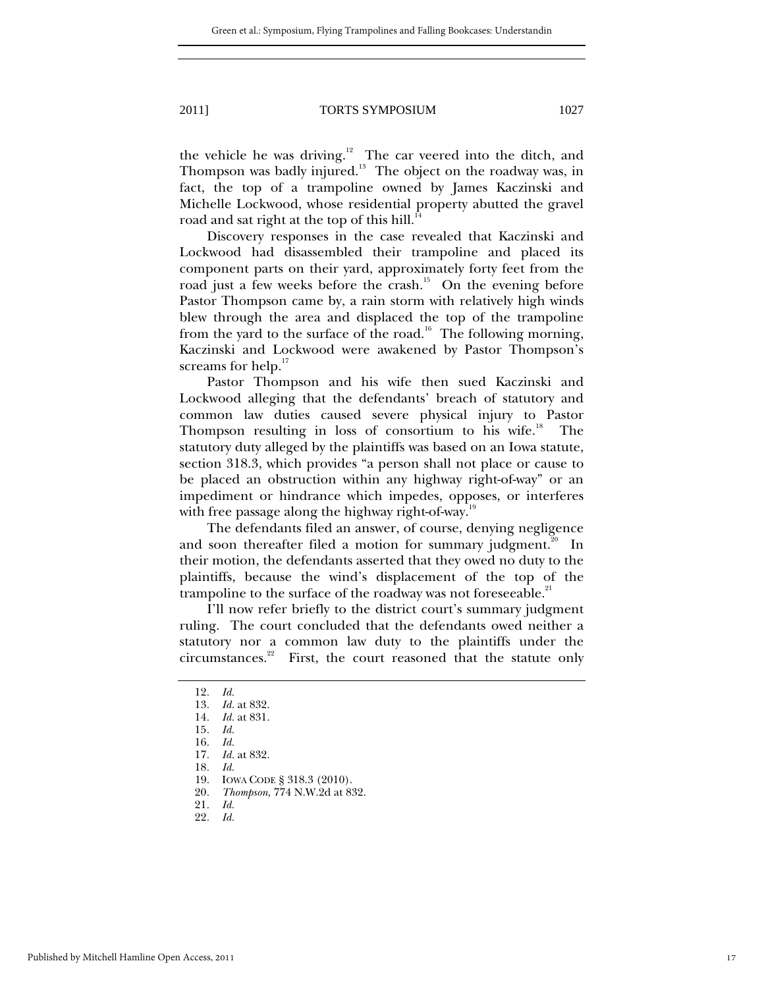the vehicle he was driving. $12$  The car veered into the ditch, and Thompson was badly injured. $13$  The object on the roadway was, in fact, the top of a trampoline owned by James Kaczinski and Michelle Lockwood, whose residential property abutted the gravel road and sat right at the top of this hill.<sup>1</sup>

Discovery responses in the case revealed that Kaczinski and Lockwood had disassembled their trampoline and placed its component parts on their yard, approximately forty feet from the road just a few weeks before the crash.<sup>15</sup> On the evening before Pastor Thompson came by, a rain storm with relatively high winds blew through the area and displaced the top of the trampoline from the yard to the surface of the road.<sup>16</sup> The following morning, Kaczinski and Lockwood were awakened by Pastor Thompson's screams for help.<sup>17</sup>

Pastor Thompson and his wife then sued Kaczinski and Lockwood alleging that the defendants' breach of statutory and common law duties caused severe physical injury to Pastor Thompson resulting in loss of consortium to his wife.<sup>18</sup> The statutory duty alleged by the plaintiffs was based on an Iowa statute, section 318.3, which provides "a person shall not place or cause to be placed an obstruction within any highway right-of-way" or an impediment or hindrance which impedes, opposes, or interferes with free passage along the highway right-of-way.<sup>19</sup>

The defendants filed an answer, of course, denying negligence and soon thereafter filed a motion for summary judgment.<sup>20</sup> In their motion, the defendants asserted that they owed no duty to the plaintiffs, because the wind's displacement of the top of the trampoline to the surface of the roadway was not foreseeable.<sup>21</sup>

I'll now refer briefly to the district court's summary judgment ruling. The court concluded that the defendants owed neither a statutory nor a common law duty to the plaintiffs under the circumstances. $2^2$  First, the court reasoned that the statute only

<sup>12</sup>*. Id.* 

<sup>13</sup>*. Id.* at 832.

<sup>14</sup>*. Id.* at 831.

<sup>15</sup>*. Id.*

<sup>16</sup>*. Id.*

<sup>17</sup>*. Id.* at 832.

<sup>18</sup>*. Id.*

 <sup>19.</sup> IOWA CODE § 318.3 (2010).

<sup>20</sup>*. Thompson*, 774 N.W.2d at 832.

<sup>21</sup>*. Id.*

<sup>22</sup>*. Id.*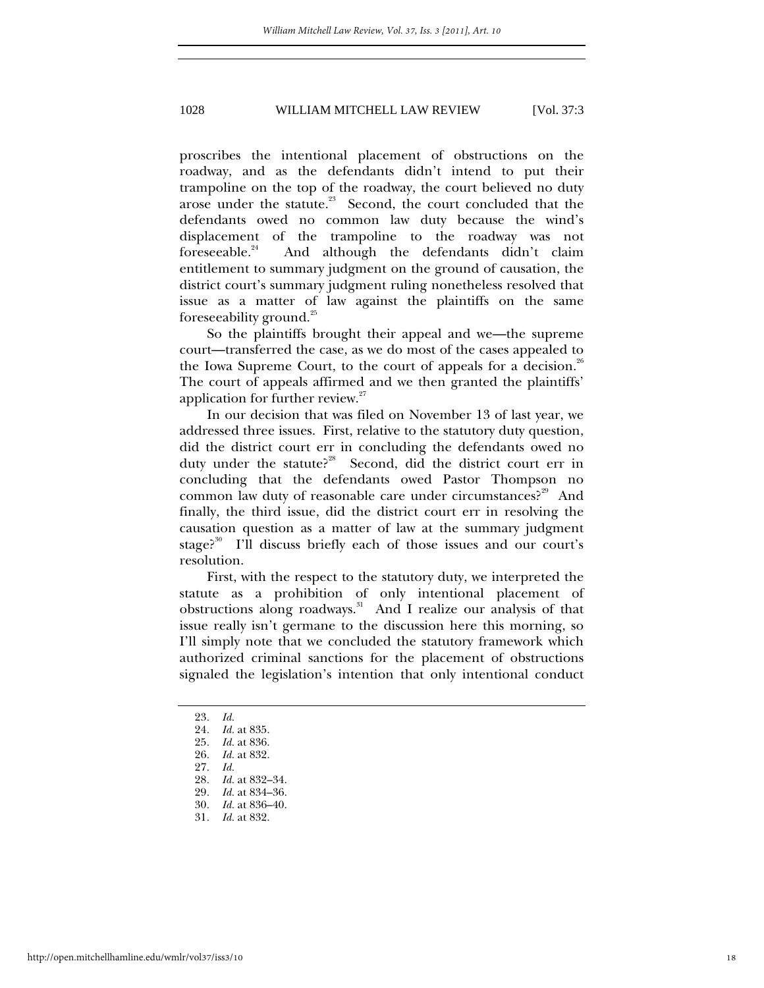proscribes the intentional placement of obstructions on the roadway, and as the defendants didn't intend to put their trampoline on the top of the roadway, the court believed no duty arose under the statute.<sup>23</sup> Second, the court concluded that the defendants owed no common law duty because the wind's displacement of the trampoline to the roadway was not foreseeable. $24$  And although the defendants didn't claim entitlement to summary judgment on the ground of causation, the district court's summary judgment ruling nonetheless resolved that issue as a matter of law against the plaintiffs on the same foreseeability ground.<sup>25</sup>

So the plaintiffs brought their appeal and we—the supreme court—transferred the case, as we do most of the cases appealed to the Iowa Supreme Court, to the court of appeals for a decision.<sup>26</sup> The court of appeals affirmed and we then granted the plaintiffs' application for further review.<sup>27</sup>

In our decision that was filed on November 13 of last year, we addressed three issues. First, relative to the statutory duty question, did the district court err in concluding the defendants owed no duty under the statute?<sup>28</sup> Second, did the district court err in concluding that the defendants owed Pastor Thompson no common law duty of reasonable care under circumstances?<sup>29</sup> And finally, the third issue, did the district court err in resolving the causation question as a matter of law at the summary judgment stage?<sup>30</sup> I'll discuss briefly each of those issues and our court's resolution.

First, with the respect to the statutory duty, we interpreted the statute as a prohibition of only intentional placement of obstructions along roadways.<sup>31</sup> And I realize our analysis of that issue really isn't germane to the discussion here this morning, so I'll simply note that we concluded the statutory framework which authorized criminal sanctions for the placement of obstructions signaled the legislation's intention that only intentional conduct

31*. Id.* at 832.

<sup>23</sup>*. Id.*

<sup>24</sup>*. Id.* at 835.

<sup>25</sup>*. Id.* at 836.

<sup>26</sup>*. Id.* at 832.

<sup>27</sup>*. Id.*

<sup>28</sup>*. Id.* at 832–34.

<sup>29</sup>*. Id.* at 834–36.

<sup>30</sup>*. Id.* at 836–40.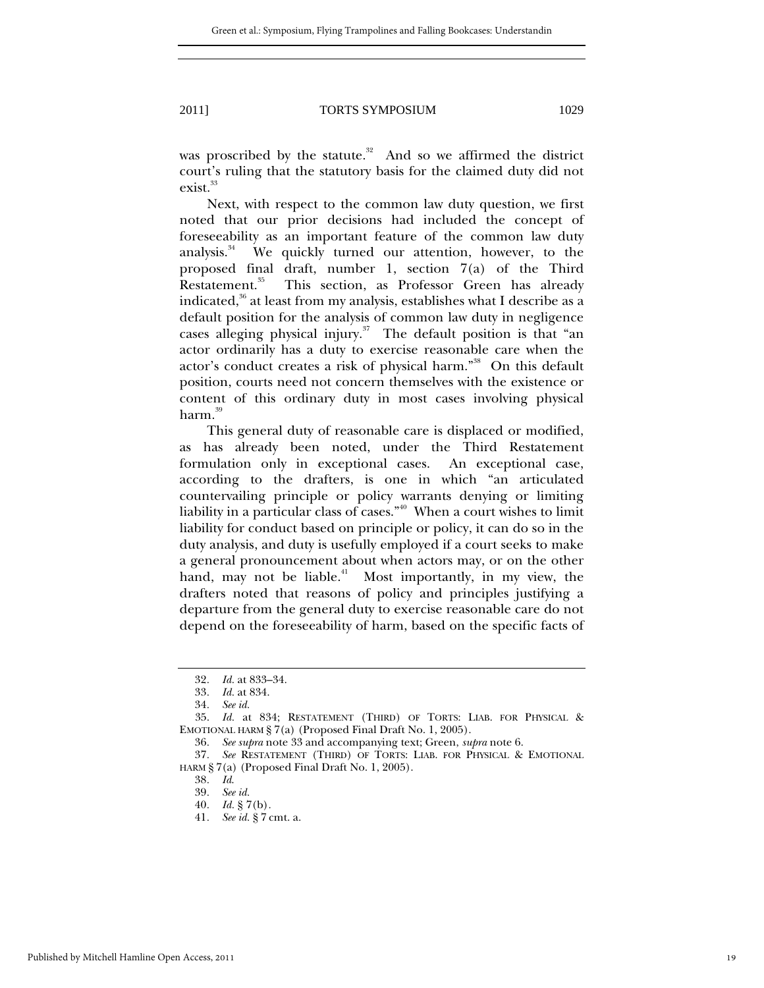was proscribed by the statute. $32$  And so we affirmed the district court's ruling that the statutory basis for the claimed duty did not exist.<sup>33</sup>

Next, with respect to the common law duty question, we first noted that our prior decisions had included the concept of foreseeability as an important feature of the common law duty analysis.<sup>34</sup> We quickly turned our attention, however, to the proposed final draft, number 1, section 7(a) of the Third This section, as Professor Green has already indicated, $36$  at least from my analysis, establishes what I describe as a default position for the analysis of common law duty in negligence cases alleging physical injury.<sup>37</sup> The default position is that "an actor ordinarily has a duty to exercise reasonable care when the actor's conduct creates a risk of physical harm."<sup>38</sup> On this default position, courts need not concern themselves with the existence or content of this ordinary duty in most cases involving physical harm.<sup>39</sup>

This general duty of reasonable care is displaced or modified, as has already been noted, under the Third Restatement formulation only in exceptional cases. An exceptional case, according to the drafters, is one in which "an articulated countervailing principle or policy warrants denying or limiting liability in a particular class of cases." $40$  When a court wishes to limit liability for conduct based on principle or policy, it can do so in the duty analysis, and duty is usefully employed if a court seeks to make a general pronouncement about when actors may, or on the other hand, may not be liable.<sup>41</sup> Most importantly, in my view, the drafters noted that reasons of policy and principles justifying a departure from the general duty to exercise reasonable care do not depend on the foreseeability of harm, based on the specific facts of

<sup>32</sup>*. Id.* at 833–34.

<sup>33</sup>*. Id.* at 834.

<sup>34</sup>*. See id.*

 <sup>35.</sup> *Id.* at 834; RESTATEMENT (THIRD) OF TORTS: LIAB. FOR PHYSICAL & EMOTIONAL HARM § 7(a) (Proposed Final Draft No. 1, 2005).

<sup>36</sup>*. See supra* note 33 and accompanying text; Green, *supra* note 6.

<sup>37</sup>*. See* RESTATEMENT (THIRD) OF TORTS: LIAB. FOR PHYSICAL & EMOTIONAL HARM § 7(a) (Proposed Final Draft No. 1, 2005).

<sup>38</sup>*. Id*.

<sup>39</sup>*. See id.*

<sup>40</sup>*. Id.* § 7(b)*.* 

<sup>41</sup>*. See id.* § 7 cmt. a.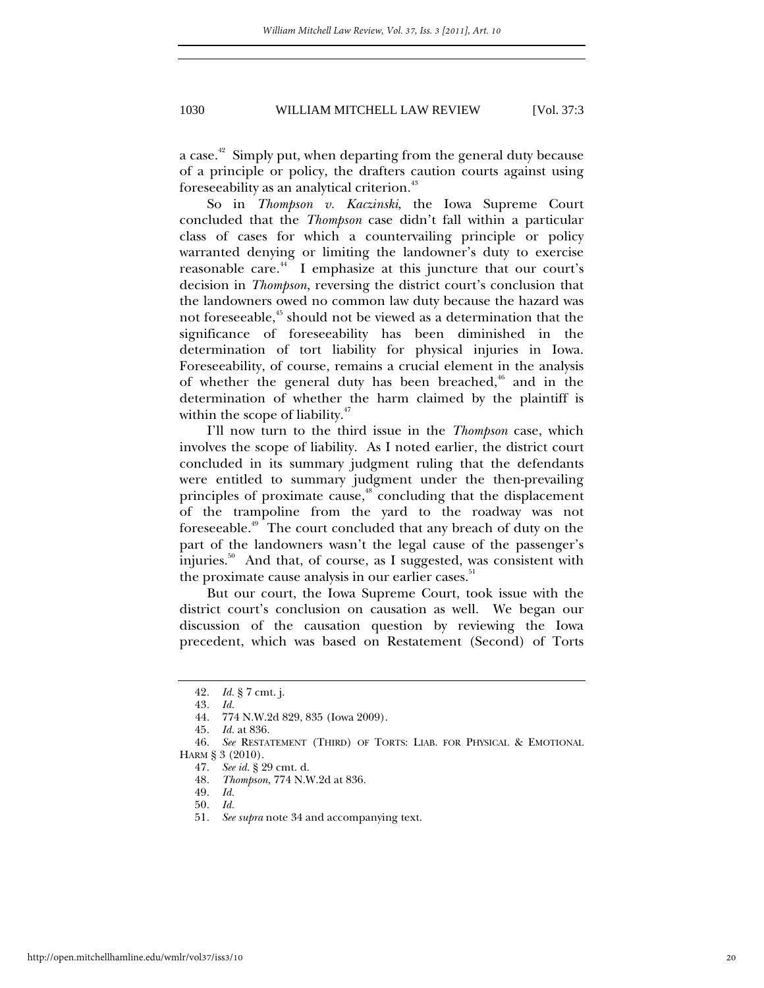a case.<sup>42</sup> Simply put, when departing from the general duty because of a principle or policy, the drafters caution courts against using foreseeability as an analytical criterion.<sup>43</sup>

So in *Thompson v. Kaczinski*, the Iowa Supreme Court concluded that the *Thompson* case didn't fall within a particular class of cases for which a countervailing principle or policy warranted denying or limiting the landowner's duty to exercise reasonable care.<sup>44</sup> I emphasize at this juncture that our court's decision in *Thompson*, reversing the district court's conclusion that the landowners owed no common law duty because the hazard was not foreseeable, $45$  should not be viewed as a determination that the significance of foreseeability has been diminished in the determination of tort liability for physical injuries in Iowa. Foreseeability, of course, remains a crucial element in the analysis of whether the general duty has been breached, $46$  and in the determination of whether the harm claimed by the plaintiff is within the scope of liability. $47$ 

I'll now turn to the third issue in the *Thompson* case, which involves the scope of liability. As I noted earlier, the district court concluded in its summary judgment ruling that the defendants were entitled to summary judgment under the then-prevailing principles of proximate cause,<sup>48</sup> concluding that the displacement of the trampoline from the yard to the roadway was not foreseeable.49 The court concluded that any breach of duty on the part of the landowners wasn't the legal cause of the passenger's injuries. $50^{\circ}$  And that, of course, as I suggested, was consistent with the proximate cause analysis in our earlier cases.<sup>51</sup>

But our court, the Iowa Supreme Court, took issue with the district court's conclusion on causation as well. We began our discussion of the causation question by reviewing the Iowa precedent, which was based on Restatement (Second) of Torts

<sup>42</sup>*. Id.* § 7 cmt. j.

<sup>43</sup>*. Id.*

 <sup>44. 774</sup> N.W.2d 829, 835 (Iowa 2009). 45*. Id.* at 836.

<sup>46</sup>*. See* RESTATEMENT (THIRD) OF TORTS: LIAB. FOR PHYSICAL & EMOTIONAL HARM § 3 (2010).

<sup>47</sup>*. See id.* § 29 cmt. d.

<sup>48</sup>*. Thompson*, 774 N.W.2d at 836.

<sup>49</sup>*. Id.* 

<sup>50</sup>*. Id.*

<sup>51</sup>*. See supra* note 34 and accompanying text.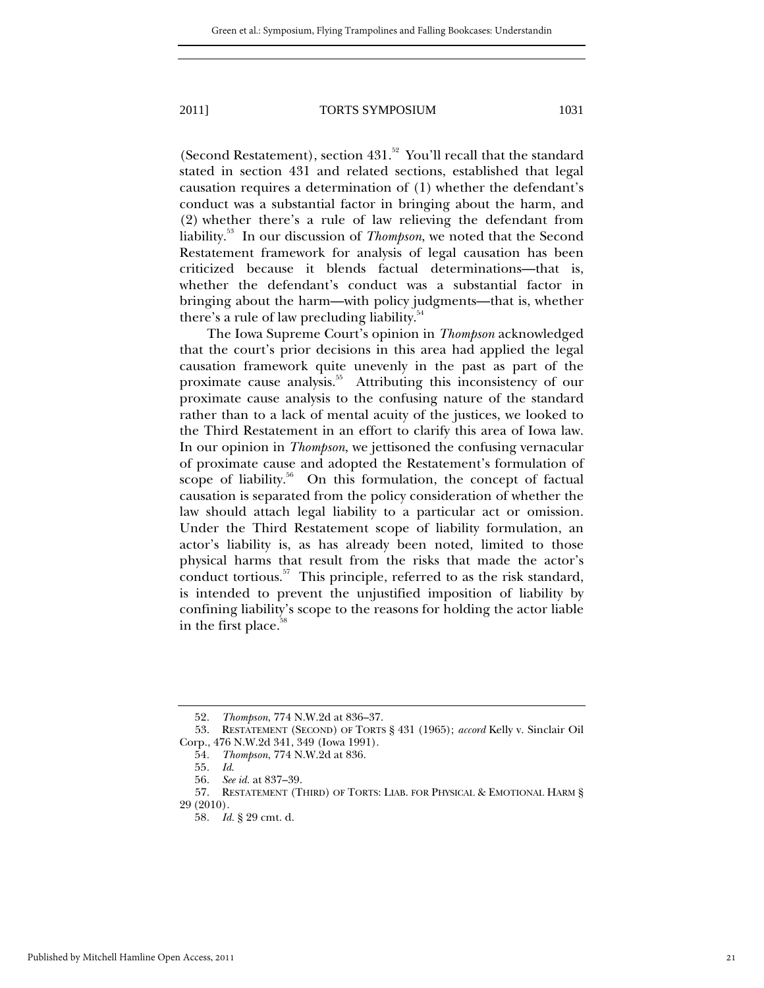(Second Restatement), section  $431$ .<sup>52</sup> You'll recall that the standard stated in section 431 and related sections, established that legal causation requires a determination of (1) whether the defendant's conduct was a substantial factor in bringing about the harm, and (2) whether there's a rule of law relieving the defendant from liability.53 In our discussion of *Thompson*, we noted that the Second Restatement framework for analysis of legal causation has been criticized because it blends factual determinations—that is, whether the defendant's conduct was a substantial factor in bringing about the harm—with policy judgments—that is, whether there's a rule of law precluding liability.<sup>54</sup>

The Iowa Supreme Court's opinion in *Thompson* acknowledged that the court's prior decisions in this area had applied the legal causation framework quite unevenly in the past as part of the proximate cause analysis.<sup>55</sup> Attributing this inconsistency of our proximate cause analysis to the confusing nature of the standard rather than to a lack of mental acuity of the justices, we looked to the Third Restatement in an effort to clarify this area of Iowa law. In our opinion in *Thompson*, we jettisoned the confusing vernacular of proximate cause and adopted the Restatement's formulation of scope of liability.<sup>56</sup> On this formulation, the concept of factual causation is separated from the policy consideration of whether the law should attach legal liability to a particular act or omission. Under the Third Restatement scope of liability formulation, an actor's liability is, as has already been noted, limited to those physical harms that result from the risks that made the actor's conduct tortious.<sup>57</sup> This principle, referred to as the risk standard, is intended to prevent the unjustified imposition of liability by confining liability's scope to the reasons for holding the actor liable in the first place.<sup>58</sup>

<sup>52</sup>*. Thompson*, 774 N.W.2d at 836–37.

 <sup>53.</sup> RESTATEMENT (SECOND) OF TORTS § 431 (1965); *accord* Kelly v. Sinclair Oil Corp., 476 N.W.2d 341, 349 (Iowa 1991).

<sup>54</sup>*. Thompson*, 774 N.W.2d at 836.

<sup>55</sup>*. Id*.

<sup>56</sup>*. See id.* at 837–39.

 <sup>57.</sup> RESTATEMENT (THIRD) OF TORTS: LIAB. FOR PHYSICAL & EMOTIONAL HARM § 29 (2010).

<sup>58</sup>*. Id.* § 29 cmt. d.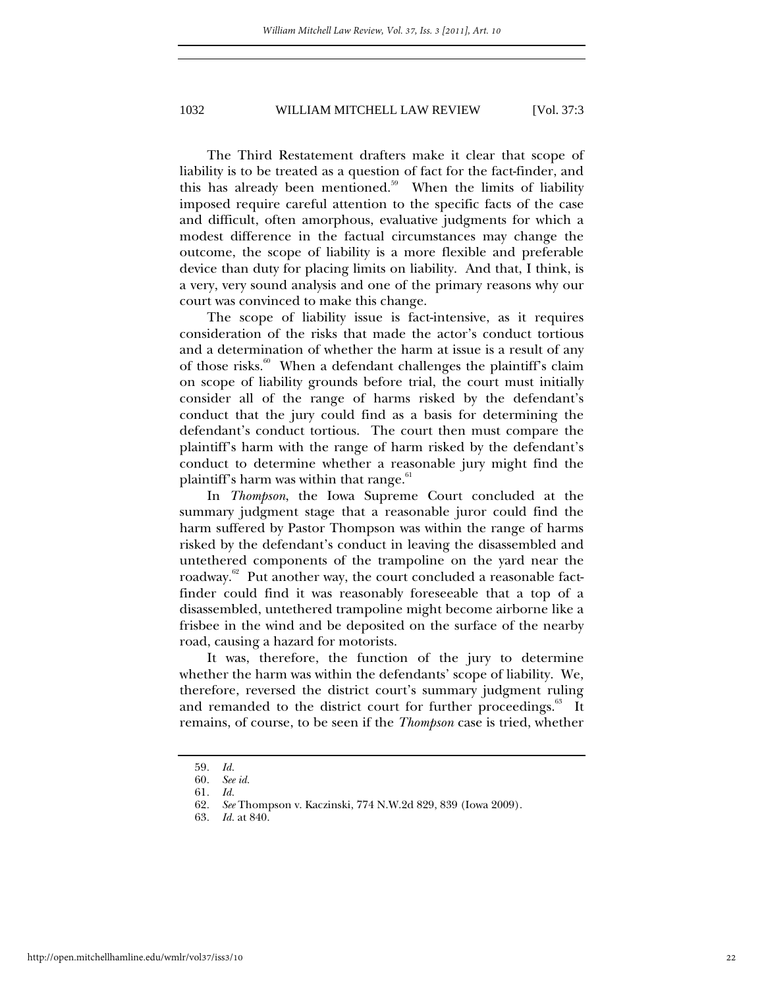The Third Restatement drafters make it clear that scope of liability is to be treated as a question of fact for the fact-finder, and this has already been mentioned.<sup>59</sup> When the limits of liability imposed require careful attention to the specific facts of the case and difficult, often amorphous, evaluative judgments for which a modest difference in the factual circumstances may change the outcome, the scope of liability is a more flexible and preferable device than duty for placing limits on liability. And that, I think, is a very, very sound analysis and one of the primary reasons why our court was convinced to make this change.

The scope of liability issue is fact-intensive, as it requires consideration of the risks that made the actor's conduct tortious and a determination of whether the harm at issue is a result of any of those risks.<sup>60</sup> When a defendant challenges the plaintiff's claim on scope of liability grounds before trial, the court must initially consider all of the range of harms risked by the defendant's conduct that the jury could find as a basis for determining the defendant's conduct tortious. The court then must compare the plaintiff's harm with the range of harm risked by the defendant's conduct to determine whether a reasonable jury might find the plaintiff's harm was within that range. $61$ 

In *Thompson*, the Iowa Supreme Court concluded at the summary judgment stage that a reasonable juror could find the harm suffered by Pastor Thompson was within the range of harms risked by the defendant's conduct in leaving the disassembled and untethered components of the trampoline on the yard near the roadway.<sup>62</sup> Put another way, the court concluded a reasonable factfinder could find it was reasonably foreseeable that a top of a disassembled, untethered trampoline might become airborne like a frisbee in the wind and be deposited on the surface of the nearby road, causing a hazard for motorists.

It was, therefore, the function of the jury to determine whether the harm was within the defendants' scope of liability. We, therefore, reversed the district court's summary judgment ruling and remanded to the district court for further proceedings.<sup>63</sup> It remains, of course, to be seen if the *Thompson* case is tried, whether

<sup>59</sup>*. Id.*

<sup>60</sup>*. See id.*

<sup>61</sup>*. Id.* 

<sup>62</sup>*. See* Thompson v. Kaczinski, 774 N.W.2d 829, 839 (Iowa 2009).

<sup>63</sup>*. Id.* at 840.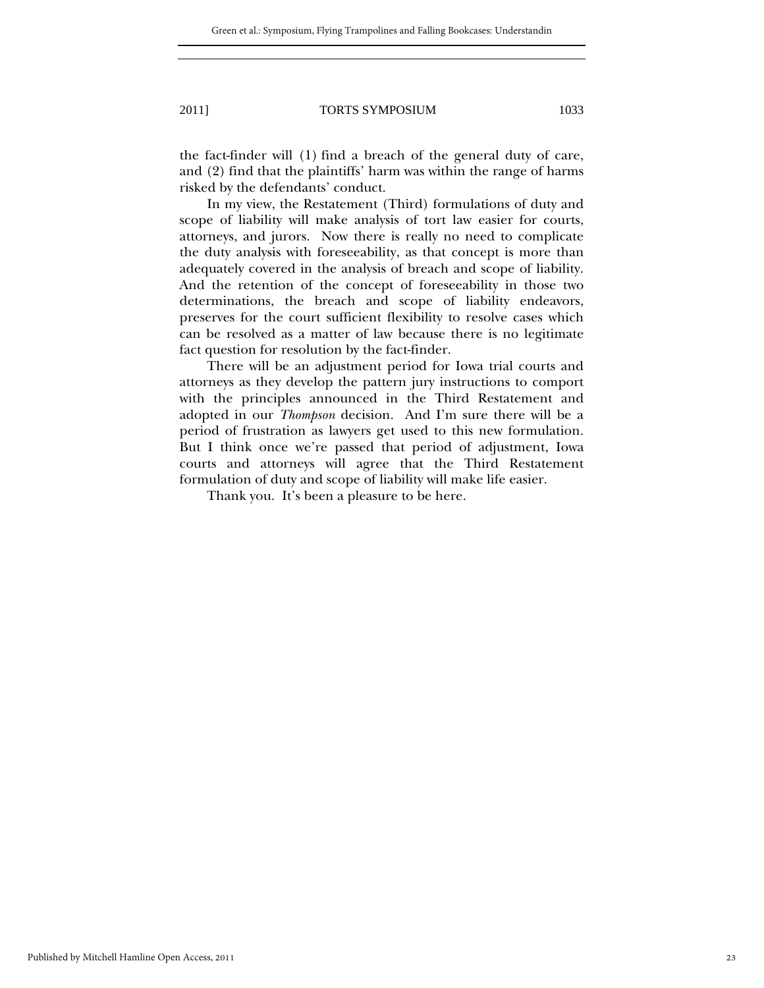the fact-finder will (1) find a breach of the general duty of care, and (2) find that the plaintiffs' harm was within the range of harms risked by the defendants' conduct.

In my view, the Restatement (Third) formulations of duty and scope of liability will make analysis of tort law easier for courts, attorneys, and jurors. Now there is really no need to complicate the duty analysis with foreseeability, as that concept is more than adequately covered in the analysis of breach and scope of liability. And the retention of the concept of foreseeability in those two determinations, the breach and scope of liability endeavors, preserves for the court sufficient flexibility to resolve cases which can be resolved as a matter of law because there is no legitimate fact question for resolution by the fact-finder.

There will be an adjustment period for Iowa trial courts and attorneys as they develop the pattern jury instructions to comport with the principles announced in the Third Restatement and adopted in our *Thompson* decision. And I'm sure there will be a period of frustration as lawyers get used to this new formulation. But I think once we're passed that period of adjustment, Iowa courts and attorneys will agree that the Third Restatement formulation of duty and scope of liability will make life easier.

Thank you. It's been a pleasure to be here.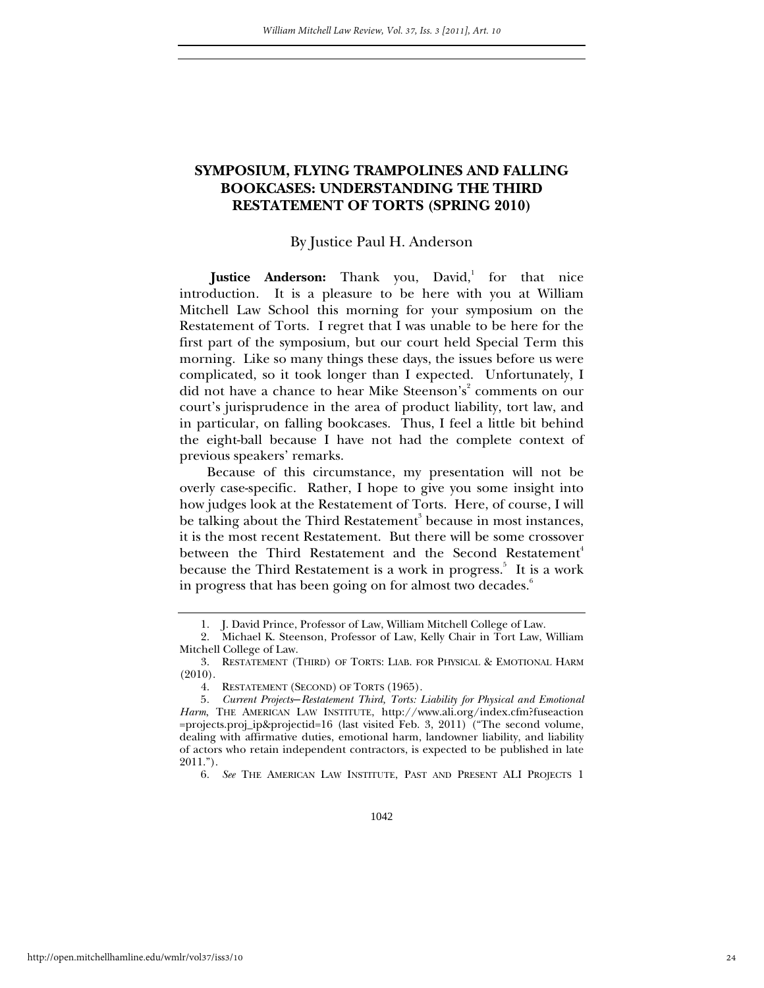### **SYMPOSIUM, FLYING TRAMPOLINES AND FALLING BOOKCASES: UNDERSTANDING THE THIRD RESTATEMENT OF TORTS (SPRING 2010)**

#### By Justice Paul H. Anderson

Justice Anderson: Thank you, David,<sup>1</sup> for that nice introduction. It is a pleasure to be here with you at William Mitchell Law School this morning for your symposium on the Restatement of Torts. I regret that I was unable to be here for the first part of the symposium, but our court held Special Term this morning. Like so many things these days, the issues before us were complicated, so it took longer than I expected. Unfortunately, I did not have a chance to hear Mike Steenson's<sup>2</sup> comments on our court's jurisprudence in the area of product liability, tort law, and in particular, on falling bookcases. Thus, I feel a little bit behind the eight-ball because I have not had the complete context of previous speakers' remarks.

Because of this circumstance, my presentation will not be overly case-specific. Rather, I hope to give you some insight into how judges look at the Restatement of Torts. Here, of course, I will be talking about the Third Restatement<sup>3</sup> because in most instances, it is the most recent Restatement. But there will be some crossover between the Third Restatement and the Second Restatement<sup>4</sup> because the Third Restatement is a work in progress.<sup>5</sup> It is a work in progress that has been going on for almost two decades.<sup>6</sup>

 <sup>1.</sup> J. David Prince, Professor of Law, William Mitchell College of Law.

 <sup>2.</sup> Michael K. Steenson, Professor of Law, Kelly Chair in Tort Law, William Mitchell College of Law.

 <sup>3.</sup> RESTATEMENT (THIRD) OF TORTS: LIAB. FOR PHYSICAL & EMOTIONAL HARM (2010).

 <sup>4.</sup> RESTATEMENT (SECOND) OF TORTS (1965).

<sup>5</sup>*. Current Projects*―*Restatement Third, Torts: Liability for Physical and Emotional Harm*, THE AMERICAN LAW INSTITUTE, http://www.ali.org/index.cfm?fuseaction =projects.proj\_ip&projectid=16 (last visited Feb. 3, 2011) ("The second volume, dealing with affirmative duties, emotional harm, landowner liability, and liability of actors who retain independent contractors, is expected to be published in late 2011.").

<sup>6</sup>*. See* THE AMERICAN LAW INSTITUTE, PAST AND PRESENT ALI PROJECTS 1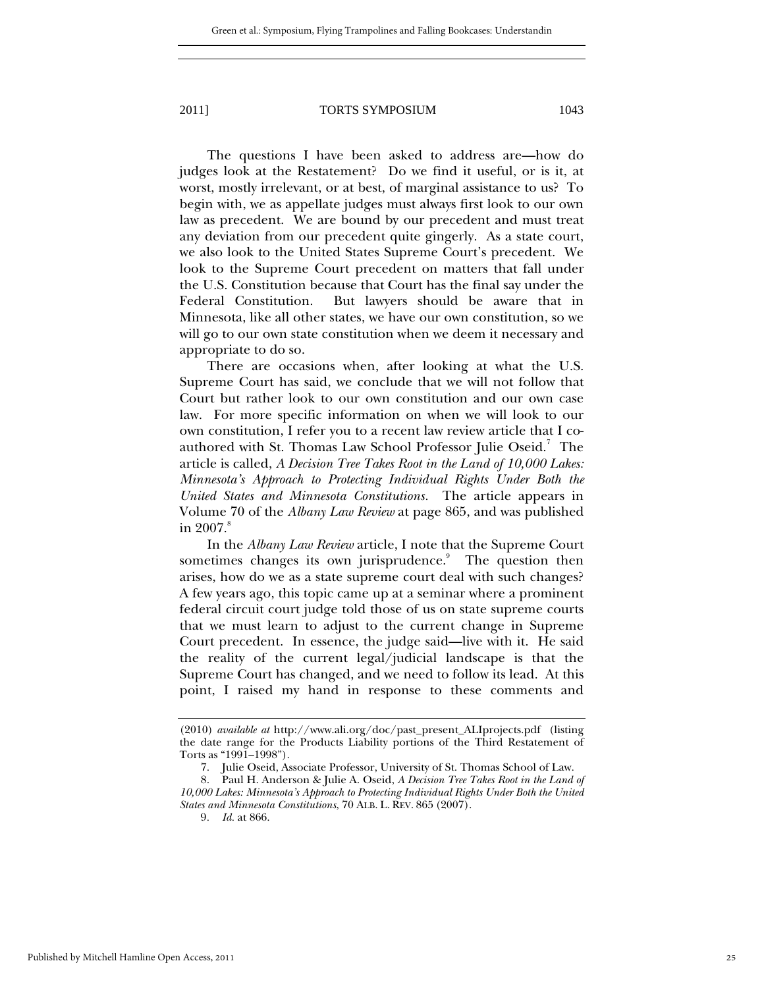The questions I have been asked to address are—how do judges look at the Restatement? Do we find it useful, or is it, at worst, mostly irrelevant, or at best, of marginal assistance to us? To begin with, we as appellate judges must always first look to our own law as precedent. We are bound by our precedent and must treat any deviation from our precedent quite gingerly. As a state court, we also look to the United States Supreme Court's precedent. We look to the Supreme Court precedent on matters that fall under the U.S. Constitution because that Court has the final say under the Federal Constitution. But lawyers should be aware that in Minnesota, like all other states, we have our own constitution, so we will go to our own state constitution when we deem it necessary and appropriate to do so.

There are occasions when, after looking at what the U.S. Supreme Court has said, we conclude that we will not follow that Court but rather look to our own constitution and our own case law. For more specific information on when we will look to our own constitution, I refer you to a recent law review article that I coauthored with St. Thomas Law School Professor Julie Oseid.<sup>7</sup> The article is called, *A Decision Tree Takes Root in the Land of 10,000 Lakes: Minnesota's Approach to Protecting Individual Rights Under Both the United States and Minnesota Constitutions.* The article appears in Volume 70 of the *Albany Law Review* at page 865, and was published in  $2007.^\mathrm{s}$ 

In the *Albany Law Review* article, I note that the Supreme Court sometimes changes its own jurisprudence.<sup>9</sup> The question then arises, how do we as a state supreme court deal with such changes? A few years ago, this topic came up at a seminar where a prominent federal circuit court judge told those of us on state supreme courts that we must learn to adjust to the current change in Supreme Court precedent. In essence, the judge said—live with it. He said the reality of the current legal/judicial landscape is that the Supreme Court has changed, and we need to follow its lead. At this point, I raised my hand in response to these comments and

<sup>(2010)</sup> *available at* http://www.ali.org/doc/past\_present\_ALIprojects.pdf (listing the date range for the Products Liability portions of the Third Restatement of Torts as "1991–1998").

 <sup>7.</sup> Julie Oseid, Associate Professor, University of St. Thomas School of Law.

 <sup>8.</sup> Paul H. Anderson & Julie A. Oseid, *A Decision Tree Takes Root in the Land of 10,000 Lakes: Minnesota's Approach to Protecting Individual Rights Under Both the United States and Minnesota Constitutions*, 70 ALB. L. REV. 865 (2007).

<sup>9</sup>*. Id.* at 866.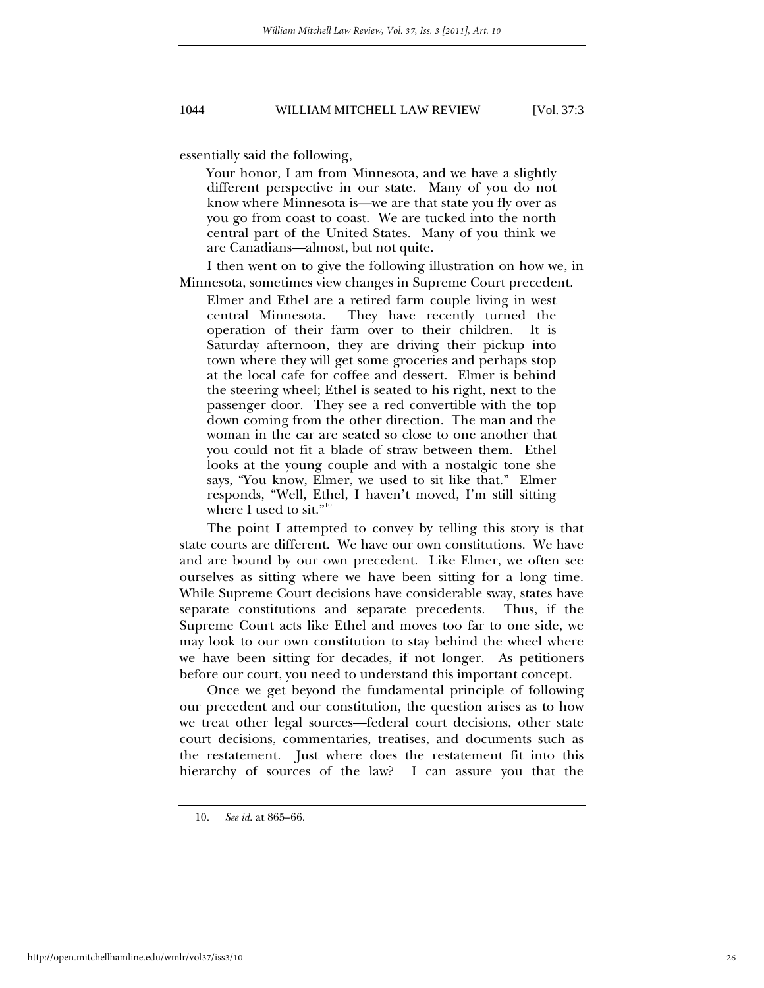essentially said the following,

Your honor, I am from Minnesota, and we have a slightly different perspective in our state. Many of you do not know where Minnesota is—we are that state you fly over as you go from coast to coast. We are tucked into the north central part of the United States. Many of you think we are Canadians—almost, but not quite.

I then went on to give the following illustration on how we, in Minnesota, sometimes view changes in Supreme Court precedent.

Elmer and Ethel are a retired farm couple living in west central Minnesota. They have recently turned the operation of their farm over to their children. It is Saturday afternoon, they are driving their pickup into town where they will get some groceries and perhaps stop at the local cafe for coffee and dessert. Elmer is behind the steering wheel; Ethel is seated to his right, next to the passenger door. They see a red convertible with the top down coming from the other direction. The man and the woman in the car are seated so close to one another that you could not fit a blade of straw between them. Ethel looks at the young couple and with a nostalgic tone she says, "You know, Elmer, we used to sit like that." Elmer responds, "Well, Ethel, I haven't moved, I'm still sitting where I used to sit."

The point I attempted to convey by telling this story is that state courts are different. We have our own constitutions. We have and are bound by our own precedent. Like Elmer, we often see ourselves as sitting where we have been sitting for a long time. While Supreme Court decisions have considerable sway, states have separate constitutions and separate precedents. Thus, if the Supreme Court acts like Ethel and moves too far to one side, we may look to our own constitution to stay behind the wheel where we have been sitting for decades, if not longer. As petitioners before our court, you need to understand this important concept.

Once we get beyond the fundamental principle of following our precedent and our constitution, the question arises as to how we treat other legal sources—federal court decisions, other state court decisions, commentaries, treatises, and documents such as the restatement. Just where does the restatement fit into this hierarchy of sources of the law? I can assure you that the

 <sup>10.</sup> *See id*. at 865–66.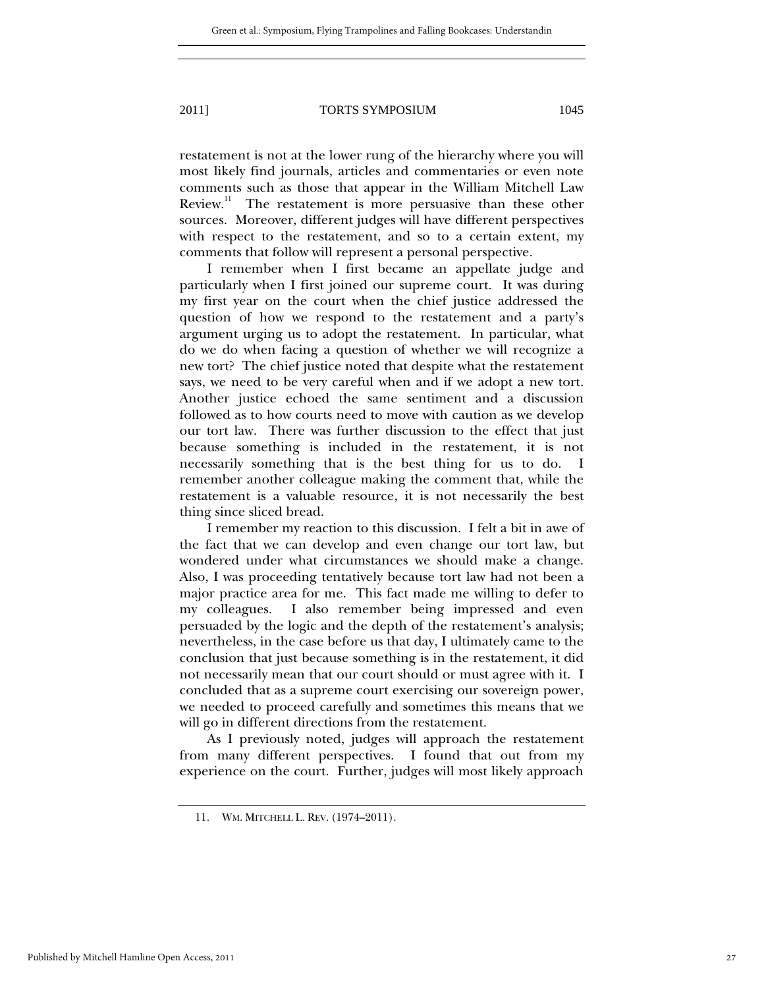restatement is not at the lower rung of the hierarchy where you will most likely find journals, articles and commentaries or even note comments such as those that appear in the William Mitchell Law Review.<sup>11</sup> The restatement is more persuasive than these other sources. Moreover, different judges will have different perspectives with respect to the restatement, and so to a certain extent, my comments that follow will represent a personal perspective.

I remember when I first became an appellate judge and particularly when I first joined our supreme court. It was during my first year on the court when the chief justice addressed the question of how we respond to the restatement and a party's argument urging us to adopt the restatement. In particular, what do we do when facing a question of whether we will recognize a new tort? The chief justice noted that despite what the restatement says, we need to be very careful when and if we adopt a new tort. Another justice echoed the same sentiment and a discussion followed as to how courts need to move with caution as we develop our tort law. There was further discussion to the effect that just because something is included in the restatement, it is not necessarily something that is the best thing for us to do. I remember another colleague making the comment that, while the restatement is a valuable resource, it is not necessarily the best thing since sliced bread.

I remember my reaction to this discussion. I felt a bit in awe of the fact that we can develop and even change our tort law, but wondered under what circumstances we should make a change. Also, I was proceeding tentatively because tort law had not been a major practice area for me. This fact made me willing to defer to my colleagues. I also remember being impressed and even persuaded by the logic and the depth of the restatement's analysis; nevertheless, in the case before us that day, I ultimately came to the conclusion that just because something is in the restatement, it did not necessarily mean that our court should or must agree with it. I concluded that as a supreme court exercising our sovereign power, we needed to proceed carefully and sometimes this means that we will go in different directions from the restatement.

As I previously noted, judges will approach the restatement from many different perspectives. I found that out from my experience on the court. Further, judges will most likely approach

 <sup>11.</sup> WM. MITCHELL L. REV. (1974–2011).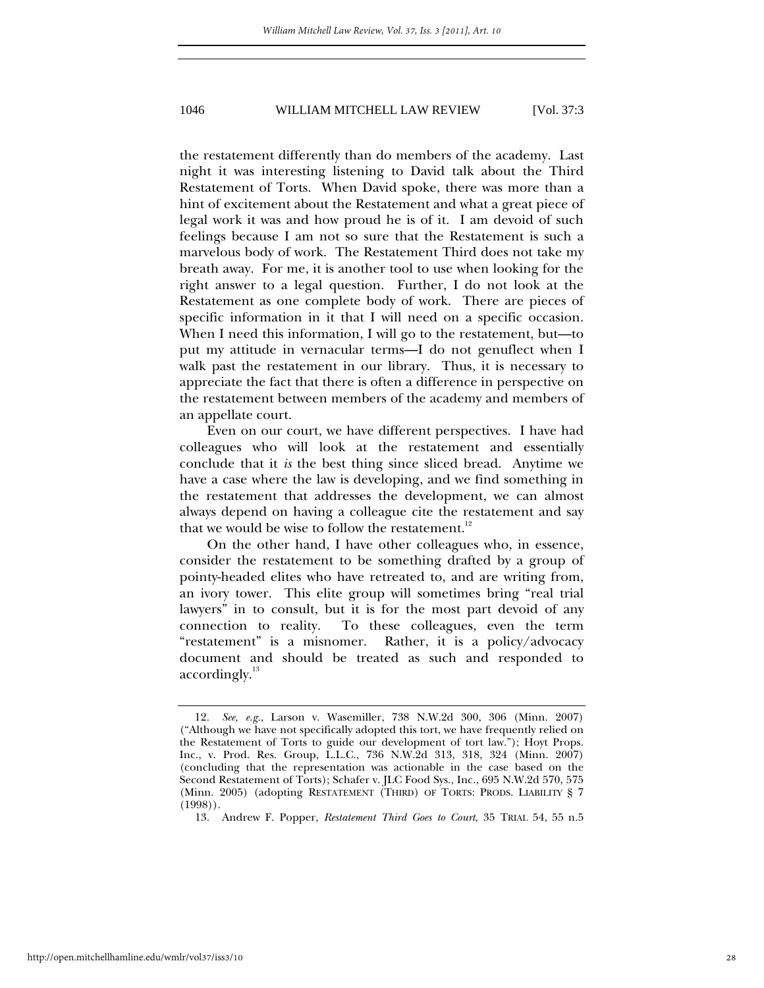the restatement differently than do members of the academy. Last night it was interesting listening to David talk about the Third Restatement of Torts. When David spoke, there was more than a hint of excitement about the Restatement and what a great piece of legal work it was and how proud he is of it. I am devoid of such feelings because I am not so sure that the Restatement is such a marvelous body of work. The Restatement Third does not take my breath away. For me, it is another tool to use when looking for the right answer to a legal question. Further, I do not look at the Restatement as one complete body of work. There are pieces of specific information in it that I will need on a specific occasion. When I need this information, I will go to the restatement, but—to put my attitude in vernacular terms—I do not genuflect when I walk past the restatement in our library. Thus, it is necessary to appreciate the fact that there is often a difference in perspective on the restatement between members of the academy and members of an appellate court.

Even on our court, we have different perspectives. I have had colleagues who will look at the restatement and essentially conclude that it *is* the best thing since sliced bread. Anytime we have a case where the law is developing, and we find something in the restatement that addresses the development, we can almost always depend on having a colleague cite the restatement and say that we would be wise to follow the restatement. $^{12}$ 

On the other hand, I have other colleagues who, in essence, consider the restatement to be something drafted by a group of pointy-headed elites who have retreated to, and are writing from, an ivory tower. This elite group will sometimes bring "real trial lawyers" in to consult, but it is for the most part devoid of any connection to reality. To these colleagues, even the term "restatement" is a misnomer. Rather, it is a policy/advocacy document and should be treated as such and responded to accordingly. $^{13}$ 

<sup>12</sup>*. See, e.g.*, Larson v. Wasemiller, 738 N.W.2d 300, 306 (Minn. 2007) ("Although we have not specifically adopted this tort, we have frequently relied on the Restatement of Torts to guide our development of tort law."); Hoyt Props. Inc., v. Prod. Res. Group, L.L.C., 736 N.W.2d 313, 318, 324 (Minn. 2007) (concluding that the representation was actionable in the case based on the Second Restatement of Torts); Schafer v. JLC Food Sys., Inc., 695 N.W.2d 570, 575 (Minn. 2005) (adopting RESTATEMENT (THIRD) OF TORTS: PRODS. LIABILITY § 7 (1998)).

 <sup>13.</sup> Andrew F. Popper, *Restatement Third Goes to Court*, 35 TRIAL 54, 55 n.5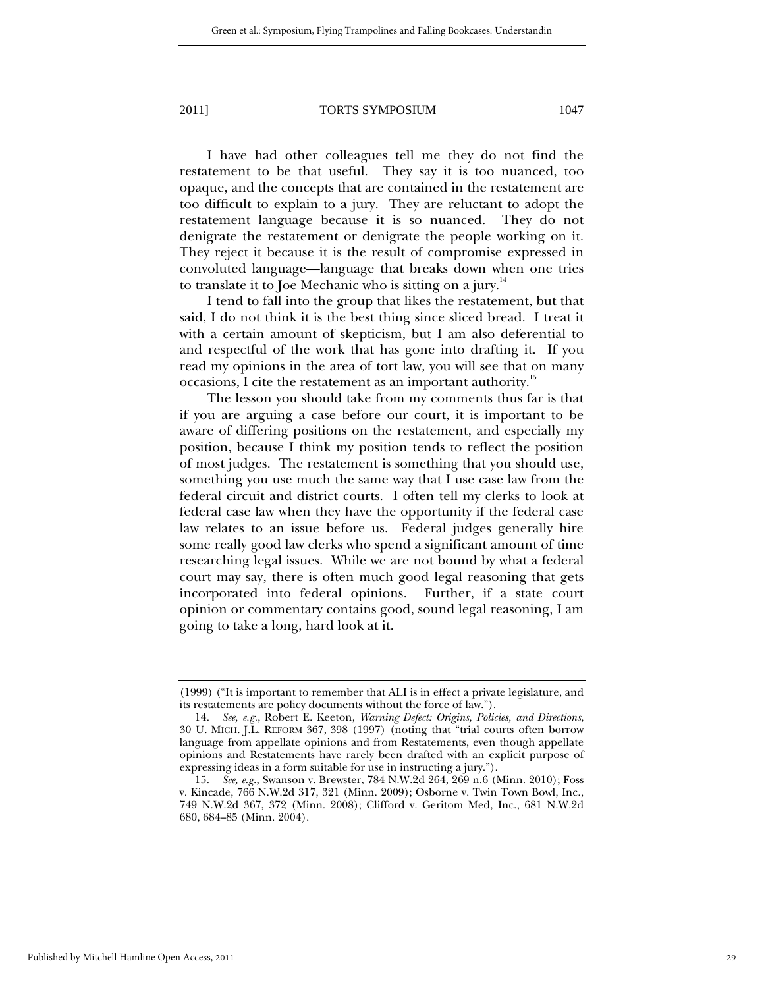I have had other colleagues tell me they do not find the restatement to be that useful. They say it is too nuanced, too opaque, and the concepts that are contained in the restatement are too difficult to explain to a jury. They are reluctant to adopt the restatement language because it is so nuanced. They do not denigrate the restatement or denigrate the people working on it. They reject it because it is the result of compromise expressed in convoluted language—language that breaks down when one tries to translate it to Joe Mechanic who is sitting on a jury. $14$ 

I tend to fall into the group that likes the restatement, but that said, I do not think it is the best thing since sliced bread. I treat it with a certain amount of skepticism, but I am also deferential to and respectful of the work that has gone into drafting it. If you read my opinions in the area of tort law, you will see that on many occasions, I cite the restatement as an important authority.<sup>15</sup>

The lesson you should take from my comments thus far is that if you are arguing a case before our court, it is important to be aware of differing positions on the restatement, and especially my position, because I think my position tends to reflect the position of most judges. The restatement is something that you should use, something you use much the same way that I use case law from the federal circuit and district courts. I often tell my clerks to look at federal case law when they have the opportunity if the federal case law relates to an issue before us. Federal judges generally hire some really good law clerks who spend a significant amount of time researching legal issues. While we are not bound by what a federal court may say, there is often much good legal reasoning that gets incorporated into federal opinions. Further, if a state court opinion or commentary contains good, sound legal reasoning, I am going to take a long, hard look at it.

<sup>(1999) (&</sup>quot;It is important to remember that ALI is in effect a private legislature, and its restatements are policy documents without the force of law.").

<sup>14</sup>*. See, e.g.*, Robert E. Keeton, *Warning Defect: Origins, Policies, and Directions*, 30 U. MICH. J.L. REFORM 367, 398 (1997) (noting that "trial courts often borrow language from appellate opinions and from Restatements, even though appellate opinions and Restatements have rarely been drafted with an explicit purpose of expressing ideas in a form suitable for use in instructing a jury.").

<sup>15</sup>*. See, e.g.*, Swanson v. Brewster, 784 N.W.2d 264, 269 n.6 (Minn. 2010); Foss v. Kincade, 766 N.W.2d 317, 321 (Minn. 2009); Osborne v. Twin Town Bowl, Inc., 749 N.W.2d 367, 372 (Minn. 2008); Clifford v. Geritom Med, Inc., 681 N.W.2d 680, 684–85 (Minn. 2004).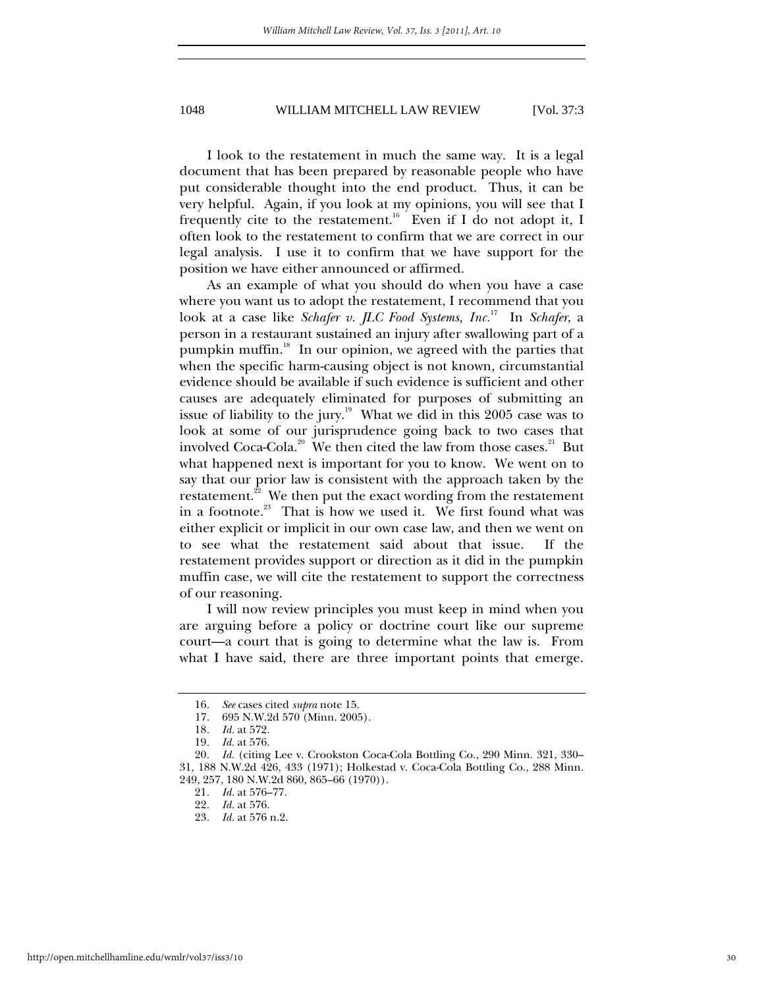I look to the restatement in much the same way. It is a legal document that has been prepared by reasonable people who have put considerable thought into the end product. Thus, it can be very helpful. Again, if you look at my opinions, you will see that I frequently cite to the restatement.<sup>16</sup> Even if I do not adopt it, I often look to the restatement to confirm that we are correct in our legal analysis. I use it to confirm that we have support for the position we have either announced or affirmed.

As an example of what you should do when you have a case where you want us to adopt the restatement, I recommend that you look at a case like *Schafer v. JLC Food Systems, Inc.*<sup>17</sup>In *Schafer*, a person in a restaurant sustained an injury after swallowing part of a pumpkin muffin.<sup>18</sup> In our opinion, we agreed with the parties that when the specific harm-causing object is not known, circumstantial evidence should be available if such evidence is sufficient and other causes are adequately eliminated for purposes of submitting an issue of liability to the jury.<sup>19</sup> What we did in this 2005 case was to look at some of our jurisprudence going back to two cases that involved Coca-Cola.<sup>20</sup> We then cited the law from those cases.<sup>21</sup> But what happened next is important for you to know. We went on to say that our prior law is consistent with the approach taken by the restatement.<sup>22</sup> We then put the exact wording from the restatement in a footnote. $^{23}$  That is how we used it. We first found what was either explicit or implicit in our own case law, and then we went on to see what the restatement said about that issue. If the restatement provides support or direction as it did in the pumpkin muffin case, we will cite the restatement to support the correctness of our reasoning.

I will now review principles you must keep in mind when you are arguing before a policy or doctrine court like our supreme court—a court that is going to determine what the law is. From what I have said, there are three important points that emerge.

<sup>16</sup>*. See* cases cited *supra* note 15.

<sup>695</sup> N.W.2d 570 (Minn. 2005). 18*. Id.* at 572.

<sup>19</sup>*. Id.* at 576.

<sup>20</sup>*. Id.* (citing Lee v. Crookston Coca-Cola Bottling Co., 290 Minn. 321, 330– 31, 188 N.W.2d 426, 433 (1971); Holkestad v. Coca-Cola Bottling Co., 288 Minn. 249, 257, 180 N.W.2d 860, 865–66 (1970)).

<sup>21</sup>*. Id.* at 576–77.

<sup>22</sup>*. Id.* at 576.

<sup>23</sup>*. Id.* at 576 n.2.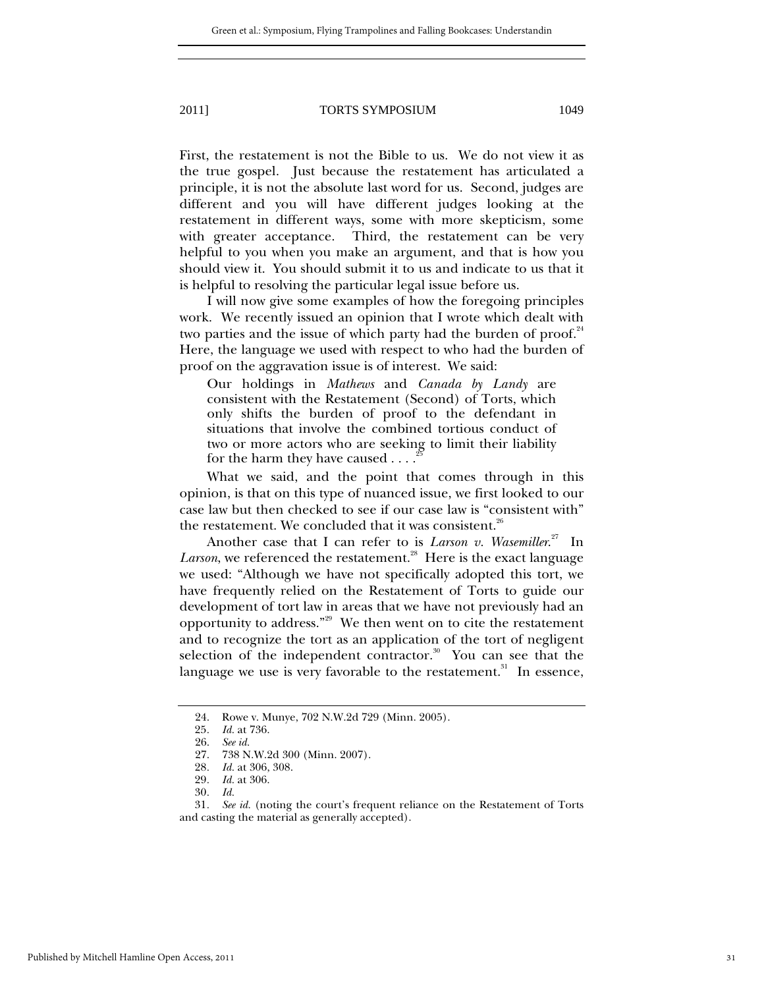First, the restatement is not the Bible to us. We do not view it as the true gospel. Just because the restatement has articulated a principle, it is not the absolute last word for us. Second, judges are different and you will have different judges looking at the restatement in different ways, some with more skepticism, some with greater acceptance. Third, the restatement can be very helpful to you when you make an argument, and that is how you should view it. You should submit it to us and indicate to us that it is helpful to resolving the particular legal issue before us.

I will now give some examples of how the foregoing principles work. We recently issued an opinion that I wrote which dealt with two parties and the issue of which party had the burden of proof. $24$ Here, the language we used with respect to who had the burden of proof on the aggravation issue is of interest. We said:

Our holdings in *Mathews* and *Canada by Landy* are consistent with the Restatement (Second) of Torts, which only shifts the burden of proof to the defendant in situations that involve the combined tortious conduct of two or more actors who are seeking to limit their liability for the harm they have caused . . . .

What we said, and the point that comes through in this opinion, is that on this type of nuanced issue, we first looked to our case law but then checked to see if our case law is "consistent with" the restatement. We concluded that it was consistent. $26$ 

Another case that I can refer to is *Larson v. Wasemiller.*<sup>27</sup> In *Larson*, we referenced the restatement.<sup>28</sup> Here is the exact language we used: "Although we have not specifically adopted this tort, we have frequently relied on the Restatement of Torts to guide our development of tort law in areas that we have not previously had an opportunity to address."29 We then went on to cite the restatement and to recognize the tort as an application of the tort of negligent selection of the independent contractor. $30\degree$  You can see that the language we use is very favorable to the restatement. $31$  In essence,

 <sup>24.</sup> Rowe v. Munye, 702 N.W.2d 729 (Minn. 2005).

<sup>25</sup>*. Id.* at 736.

 <sup>26.</sup> *See id.*

 <sup>27. 738</sup> N.W.2d 300 (Minn. 2007).

<sup>28</sup>*. Id.* at 306, 308.

<sup>29</sup>*. Id.* at 306.

<sup>30</sup>*. Id.*

<sup>31</sup>*. See id.* (noting the court's frequent reliance on the Restatement of Torts and casting the material as generally accepted).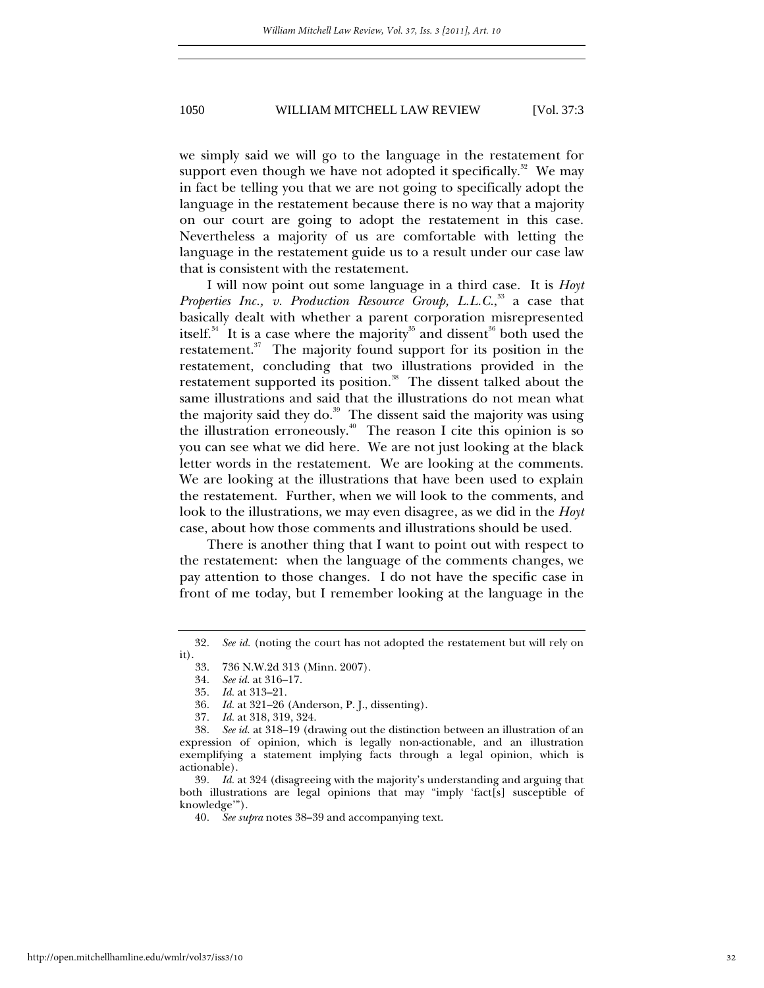we simply said we will go to the language in the restatement for support even though we have not adopted it specifically.<sup>32</sup> We may in fact be telling you that we are not going to specifically adopt the language in the restatement because there is no way that a majority on our court are going to adopt the restatement in this case. Nevertheless a majority of us are comfortable with letting the language in the restatement guide us to a result under our case law that is consistent with the restatement.

I will now point out some language in a third case. It is *Hoyt*  Properties Inc., v. Production Resource Group, L.L.C.,<sup>33</sup> a case that basically dealt with whether a parent corporation misrepresented itself.<sup>34</sup> It is a case where the majority<sup>35</sup> and dissent<sup>36</sup> both used the restatement.<sup>37</sup> The majority found support for its position in the restatement, concluding that two illustrations provided in the restatement supported its position.<sup>38</sup> The dissent talked about the same illustrations and said that the illustrations do not mean what the majority said they do.<sup>39</sup> The dissent said the majority was using the illustration erroneously.<sup>40</sup> The reason I cite this opinion is so you can see what we did here. We are not just looking at the black letter words in the restatement. We are looking at the comments. We are looking at the illustrations that have been used to explain the restatement. Further, when we will look to the comments, and look to the illustrations, we may even disagree, as we did in the *Hoyt* case, about how those comments and illustrations should be used.

There is another thing that I want to point out with respect to the restatement: when the language of the comments changes, we pay attention to those changes. I do not have the specific case in front of me today, but I remember looking at the language in the

<sup>32</sup>*. See id.* (noting the court has not adopted the restatement but will rely on it).  $33.$ 

 <sup>33. 736</sup> N.W.2d 313 (Minn. 2007).

<sup>34</sup>*. See id.* at 316–17.

<sup>35</sup>*. Id.* at 313–21.

<sup>36</sup>*. Id.* at 321–26 (Anderson, P. J., dissenting).

<sup>37</sup>*. Id.* at 318, 319, 324.

<sup>38</sup>*. See id.* at 318–19 (drawing out the distinction between an illustration of an expression of opinion, which is legally non-actionable, and an illustration exemplifying a statement implying facts through a legal opinion, which is  $\arctanable$ ).<br>39. Id.

Id. at 324 (disagreeing with the majority's understanding and arguing that both illustrations are legal opinions that may "imply 'fact[s] susceptible of knowledge'").

<sup>40</sup>*. See supra* notes 38–39 and accompanying text.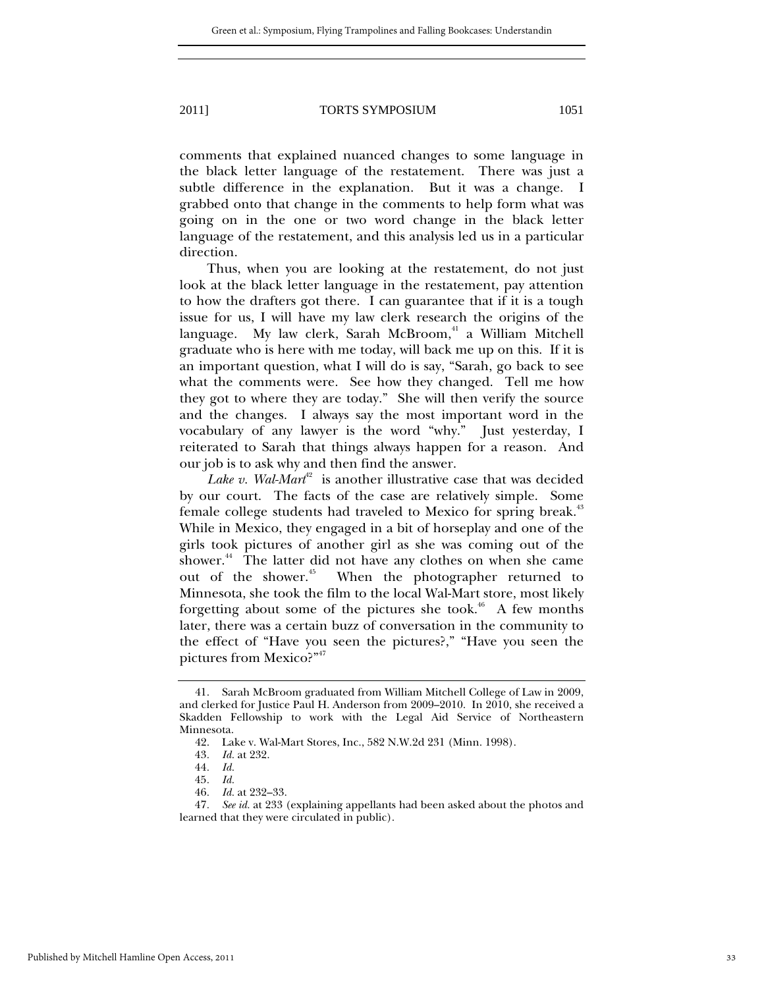comments that explained nuanced changes to some language in the black letter language of the restatement. There was just a subtle difference in the explanation. But it was a change. I grabbed onto that change in the comments to help form what was going on in the one or two word change in the black letter language of the restatement, and this analysis led us in a particular direction.

Thus, when you are looking at the restatement, do not just look at the black letter language in the restatement, pay attention to how the drafters got there. I can guarantee that if it is a tough issue for us, I will have my law clerk research the origins of the language. My law clerk, Sarah McBroom, $41$  a William Mitchell graduate who is here with me today, will back me up on this. If it is an important question, what I will do is say, "Sarah, go back to see what the comments were. See how they changed. Tell me how they got to where they are today." She will then verify the source and the changes. I always say the most important word in the vocabulary of any lawyer is the word "why." Just yesterday, I reiterated to Sarah that things always happen for a reason. And our job is to ask why and then find the answer.

*Lake v. Wal-Mart*<sup>42</sup> is another illustrative case that was decided by our court. The facts of the case are relatively simple. Some female college students had traveled to Mexico for spring break.<sup>43</sup> While in Mexico, they engaged in a bit of horseplay and one of the girls took pictures of another girl as she was coming out of the shower.<sup>44</sup> The latter did not have any clothes on when she came out of the shower.<sup>45</sup> When the photographer returned to When the photographer returned to Minnesota, she took the film to the local Wal-Mart store, most likely forgetting about some of the pictures she took.<sup>46</sup> A few months later, there was a certain buzz of conversation in the community to the effect of "Have you seen the pictures?," "Have you seen the pictures from Mexico?"<sup>47</sup>

 <sup>41.</sup> Sarah McBroom graduated from William Mitchell College of Law in 2009, and clerked for Justice Paul H. Anderson from 2009–2010. In 2010, she received a Skadden Fellowship to work with the Legal Aid Service of Northeastern Minnesota.

 <sup>42.</sup> Lake v. Wal-Mart Stores, Inc., 582 N.W.2d 231 (Minn. 1998).

<sup>43</sup>*. Id.* at 232.

<sup>44</sup>*. Id.*

<sup>45</sup>*. Id.*

<sup>46</sup>*. Id.* at 232–33.

<sup>47</sup>*. See id.* at 233 (explaining appellants had been asked about the photos and learned that they were circulated in public).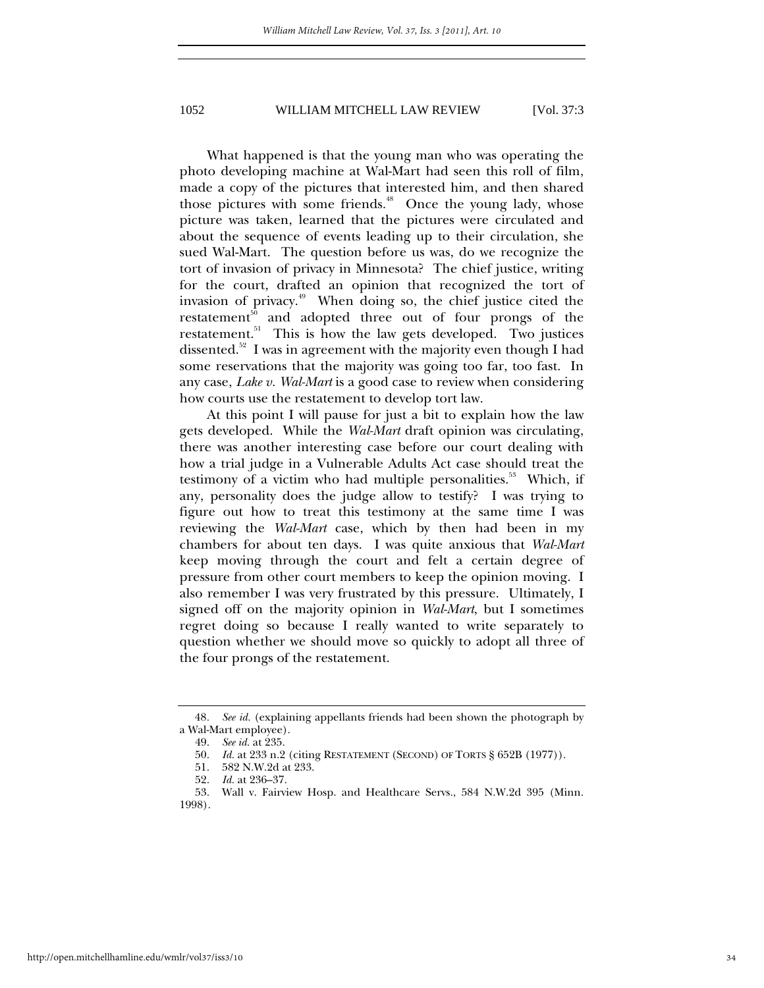What happened is that the young man who was operating the photo developing machine at Wal-Mart had seen this roll of film, made a copy of the pictures that interested him, and then shared those pictures with some friends.<sup>48</sup> Once the young lady, whose picture was taken, learned that the pictures were circulated and about the sequence of events leading up to their circulation, she sued Wal-Mart. The question before us was, do we recognize the tort of invasion of privacy in Minnesota? The chief justice, writing for the court, drafted an opinion that recognized the tort of invasion of privacy.49 When doing so, the chief justice cited the  $restatement<sup>50</sup>$  and adopted three out of four prongs of the restatement.<sup>51</sup> This is how the law gets developed. Two justices dissented.<sup>52</sup> I was in agreement with the majority even though I had some reservations that the majority was going too far, too fast. In any case, *Lake v. Wal-Mart* is a good case to review when considering how courts use the restatement to develop tort law.

At this point I will pause for just a bit to explain how the law gets developed. While the *Wal-Mart* draft opinion was circulating, there was another interesting case before our court dealing with how a trial judge in a Vulnerable Adults Act case should treat the testimony of a victim who had multiple personalities.<sup>53</sup> Which, if any, personality does the judge allow to testify? I was trying to figure out how to treat this testimony at the same time I was reviewing the *Wal-Mart* case, which by then had been in my chambers for about ten days. I was quite anxious that *Wal-Mart* keep moving through the court and felt a certain degree of pressure from other court members to keep the opinion moving. I also remember I was very frustrated by this pressure. Ultimately, I signed off on the majority opinion in *Wal-Mart*, but I sometimes regret doing so because I really wanted to write separately to question whether we should move so quickly to adopt all three of the four prongs of the restatement.

<sup>48</sup>*. See id.* (explaining appellants friends had been shown the photograph by a Wal-Mart employee).

 <sup>49.</sup> *See id.* at 235.

 <sup>50.</sup> *Id.* at 233 n.2 (citing RESTATEMENT (SECOND) OF TORTS § 652B (1977)).

 <sup>51. 582</sup> N.W.2d at 233.

 <sup>52.</sup> *Id.* at 236–37.

 <sup>53.</sup> Wall v. Fairview Hosp. and Healthcare Servs., 584 N.W.2d 395 (Minn. 1998).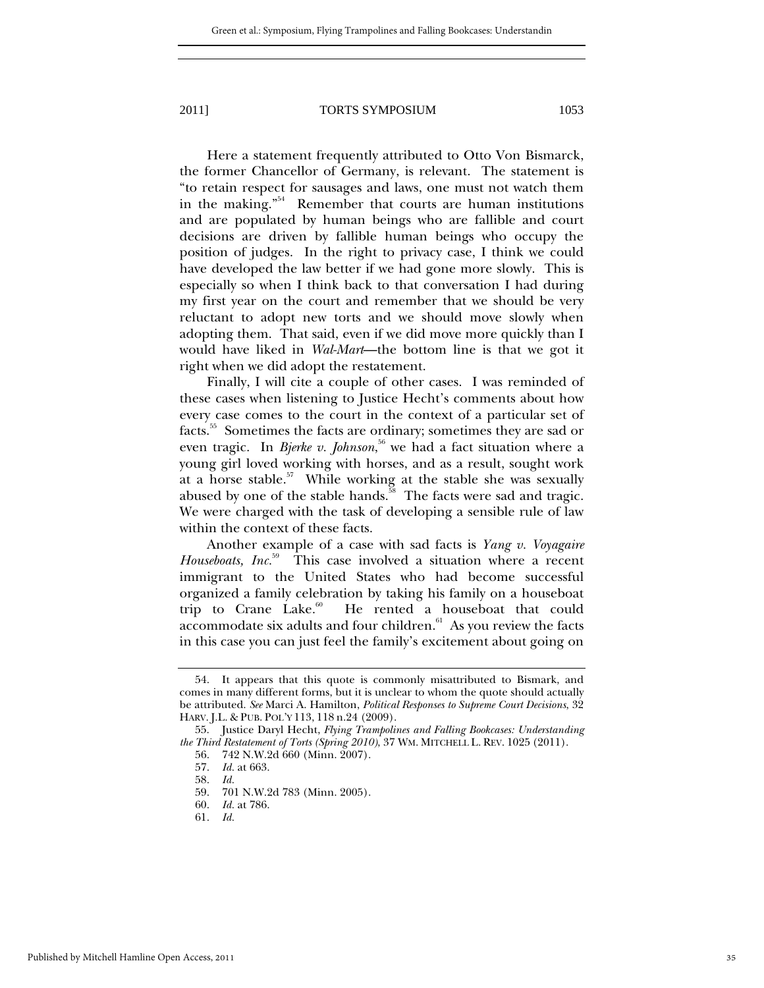Here a statement frequently attributed to Otto Von Bismarck, the former Chancellor of Germany, is relevant. The statement is "to retain respect for sausages and laws, one must not watch them in the making. $554$  Remember that courts are human institutions and are populated by human beings who are fallible and court decisions are driven by fallible human beings who occupy the position of judges. In the right to privacy case, I think we could have developed the law better if we had gone more slowly. This is especially so when I think back to that conversation I had during my first year on the court and remember that we should be very reluctant to adopt new torts and we should move slowly when adopting them. That said, even if we did move more quickly than I would have liked in *Wal-Mart*—the bottom line is that we got it right when we did adopt the restatement.

Finally, I will cite a couple of other cases. I was reminded of these cases when listening to Justice Hecht's comments about how every case comes to the court in the context of a particular set of facts.55 Sometimes the facts are ordinary; sometimes they are sad or even tragic. In *Bjerke v. Johnson*,<sup>56</sup> we had a fact situation where a young girl loved working with horses, and as a result, sought work at a horse stable.57 While working at the stable she was sexually abused by one of the stable hands.<sup>58</sup> The facts were sad and tragic. We were charged with the task of developing a sensible rule of law within the context of these facts.

Another example of a case with sad facts is *Yang v. Voyagaire Houseboats, Inc.*59 This case involved a situation where a recent immigrant to the United States who had become successful organized a family celebration by taking his family on a houseboat trip to Crane Lake.<sup>60</sup> He rented a houseboat that could accommodate six adults and four children.<sup>61</sup> As you review the facts in this case you can just feel the family's excitement about going on

 <sup>54.</sup> It appears that this quote is commonly misattributed to Bismark, and comes in many different forms, but it is unclear to whom the quote should actually be attributed. *See* Marci A. Hamilton, *Political Responses to Supreme Court Decisions*, 32 HARV. J.L. & PUB. POL'Y 113, 118 n.24 (2009).

 <sup>55.</sup> Justice Daryl Hecht, *Flying Trampolines and Falling Bookcases: Understanding the Third Restatement of Torts (Spring 2010)*, 37 WM. MITCHELL L. REV. 1025 (2011).

 <sup>56. 742</sup> N.W.2d 660 (Minn. 2007).

 <sup>57.</sup> *Id.* at 663.

 <sup>58.</sup> *Id.*

 <sup>59. 701</sup> N.W.2d 783 (Minn. 2005).

 <sup>60.</sup> *Id.* at 786.

 <sup>61.</sup> *Id.*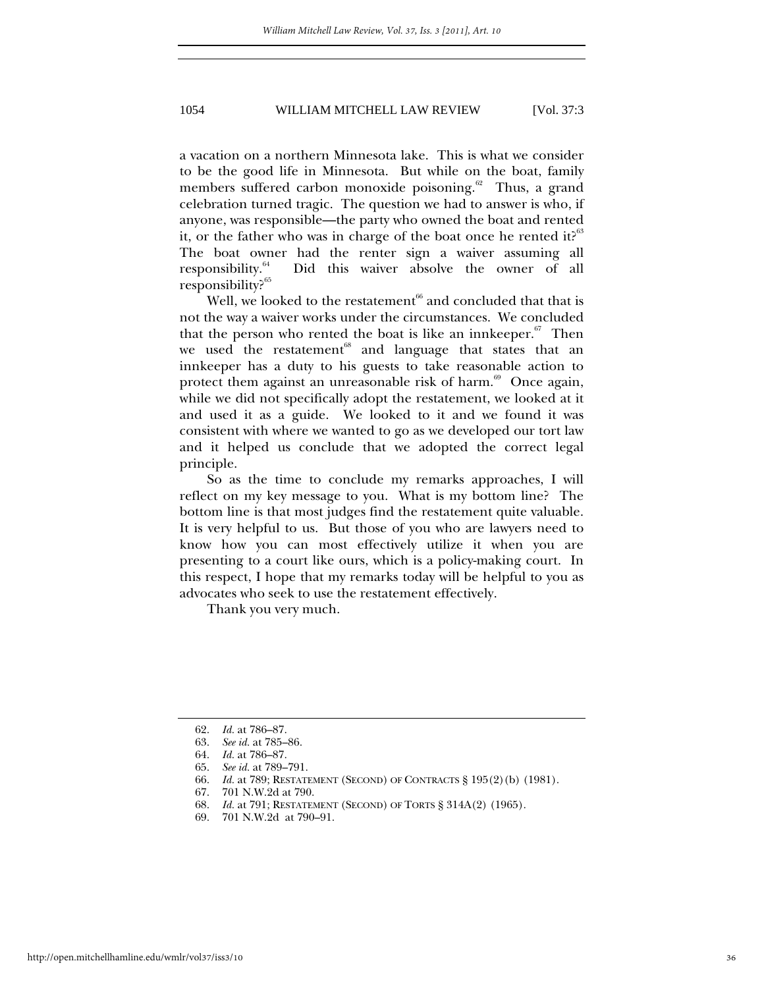a vacation on a northern Minnesota lake. This is what we consider to be the good life in Minnesota. But while on the boat, family members suffered carbon monoxide poisoning.<sup>62</sup> Thus, a grand celebration turned tragic. The question we had to answer is who, if anyone, was responsible—the party who owned the boat and rented it, or the father who was in charge of the boat once he rented it? $63$ The boat owner had the renter sign a waiver assuming all responsibility.64 Did this waiver absolve the owner of all responsibility?65

Well, we looked to the restatement<sup> $66$ </sup> and concluded that that is not the way a waiver works under the circumstances. We concluded that the person who rented the boat is like an innkeeper. $67$  Then we used the restatement<sup>68</sup> and language that states that an innkeeper has a duty to his guests to take reasonable action to protect them against an unreasonable risk of harm. $69$  Once again, while we did not specifically adopt the restatement, we looked at it and used it as a guide. We looked to it and we found it was consistent with where we wanted to go as we developed our tort law and it helped us conclude that we adopted the correct legal principle.

So as the time to conclude my remarks approaches, I will reflect on my key message to you. What is my bottom line? The bottom line is that most judges find the restatement quite valuable. It is very helpful to us. But those of you who are lawyers need to know how you can most effectively utilize it when you are presenting to a court like ours, which is a policy-making court. In this respect, I hope that my remarks today will be helpful to you as advocates who seek to use the restatement effectively.

Thank you very much.

 <sup>62.</sup> *Id.* at 786–87.

 <sup>63.</sup> *See id.* at 785–86.

 <sup>64.</sup> *Id.* at 786–87.

 <sup>65.</sup> *See id.* at 789–791.

 <sup>66.</sup> *Id.* at 789; RESTATEMENT (SECOND) OF CONTRACTS § 195(2)(b) (1981).

 <sup>67. 701</sup> N.W.2d at 790.

 <sup>68.</sup> *Id.* at 791; RESTATEMENT (SECOND) OF TORTS § 314A(2) (1965).

 <sup>69. 701</sup> N.W.2d at 790–91.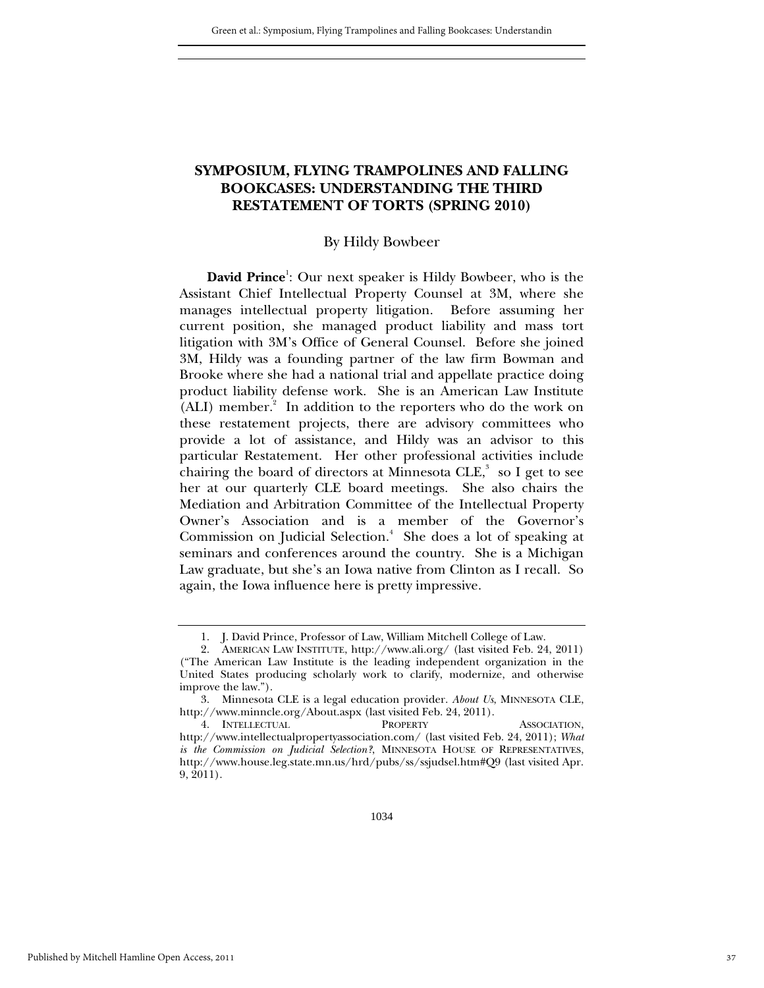### **SYMPOSIUM, FLYING TRAMPOLINES AND FALLING BOOKCASES: UNDERSTANDING THE THIRD RESTATEMENT OF TORTS (SPRING 2010)**

#### By Hildy Bowbeer

David Prince<sup>1</sup>: Our next speaker is Hildy Bowbeer, who is the Assistant Chief Intellectual Property Counsel at 3M, where she manages intellectual property litigation. Before assuming her current position, she managed product liability and mass tort litigation with 3M's Office of General Counsel. Before she joined 3M, Hildy was a founding partner of the law firm Bowman and Brooke where she had a national trial and appellate practice doing product liability defense work. She is an American Law Institute (ALI) member.<sup>2</sup> In addition to the reporters who do the work on these restatement projects, there are advisory committees who provide a lot of assistance, and Hildy was an advisor to this particular Restatement. Her other professional activities include chairing the board of directors at Minnesota  ${\rm CLE},^3$  so I get to see her at our quarterly CLE board meetings. She also chairs the Mediation and Arbitration Committee of the Intellectual Property Owner's Association and is a member of the Governor's Commission on Judicial Selection.<sup>4</sup> She does a lot of speaking at seminars and conferences around the country. She is a Michigan Law graduate, but she's an Iowa native from Clinton as I recall. So again, the Iowa influence here is pretty impressive.

 <sup>1.</sup> J. David Prince, Professor of Law, William Mitchell College of Law.

 <sup>2.</sup> AMERICAN LAW INSTITUTE, http://www.ali.org/ (last visited Feb. 24, 2011) ("The American Law Institute is the leading independent organization in the United States producing scholarly work to clarify, modernize, and otherwise improve the law.").

 <sup>3.</sup> Minnesota CLE is a legal education provider. *About Us*, MINNESOTA CLE, http://www.minncle.org/About.aspx (last visited Feb. 24, 2011).

 <sup>4.</sup> INTELLECTUAL PROPERTY ASSOCIATION, http://www.intellectualpropertyassociation.com/ (last visited Feb. 24, 2011); *What is the Commission on Judicial Selection?*, MINNESOTA HOUSE OF REPRESENTATIVES, http://www.house.leg.state.mn.us/hrd/pubs/ss/ssjudsel.htm#Q9 (last visited Apr. 9, 2011).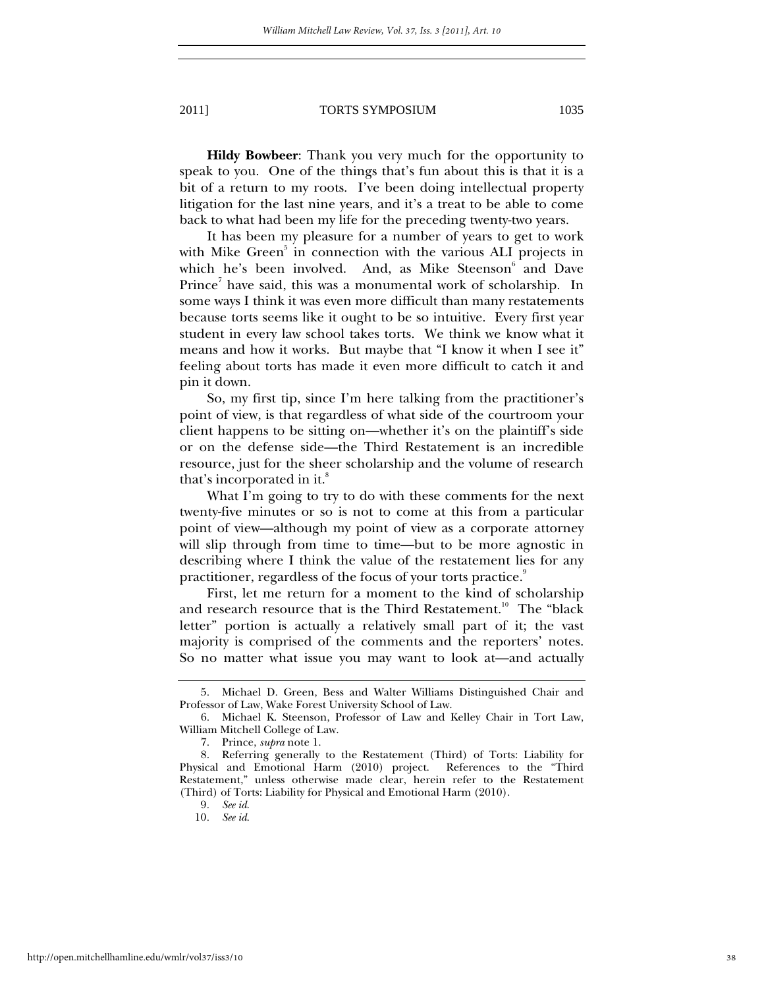**Hildy Bowbeer**: Thank you very much for the opportunity to speak to you. One of the things that's fun about this is that it is a bit of a return to my roots. I've been doing intellectual property litigation for the last nine years, and it's a treat to be able to come back to what had been my life for the preceding twenty-two years.

It has been my pleasure for a number of years to get to work with Mike Green<sup>5</sup> in connection with the various ALI projects in which he's been involved. And, as Mike Steenson<sup>6</sup> and Dave Prince<sup>7</sup> have said, this was a monumental work of scholarship. In some ways I think it was even more difficult than many restatements because torts seems like it ought to be so intuitive. Every first year student in every law school takes torts. We think we know what it means and how it works. But maybe that "I know it when I see it" feeling about torts has made it even more difficult to catch it and pin it down.

So, my first tip, since I'm here talking from the practitioner's point of view, is that regardless of what side of the courtroom your client happens to be sitting on—whether it's on the plaintiff's side or on the defense side—the Third Restatement is an incredible resource, just for the sheer scholarship and the volume of research that's incorporated in it.<sup>8</sup>

What I'm going to try to do with these comments for the next twenty-five minutes or so is not to come at this from a particular point of view—although my point of view as a corporate attorney will slip through from time to time—but to be more agnostic in describing where I think the value of the restatement lies for any practitioner, regardless of the focus of your torts practice.<sup>9</sup>

First, let me return for a moment to the kind of scholarship and research resource that is the Third Restatement.<sup>10</sup> The "black letter" portion is actually a relatively small part of it; the vast majority is comprised of the comments and the reporters' notes. So no matter what issue you may want to look at—and actually

 <sup>5.</sup> Michael D. Green, Bess and Walter Williams Distinguished Chair and Professor of Law, Wake Forest University School of Law.

 <sup>6.</sup> Michael K. Steenson, Professor of Law and Kelley Chair in Tort Law, William Mitchell College of Law.

 <sup>7.</sup> Prince, *supra* note 1.

 <sup>8.</sup> Referring generally to the Restatement (Third) of Torts: Liability for Physical and Emotional Harm (2010) project. References to the "Third Restatement," unless otherwise made clear, herein refer to the Restatement (Third) of Torts: Liability for Physical and Emotional Harm (2010).

<sup>9</sup>*. See id*.

<sup>10</sup>*. See id*.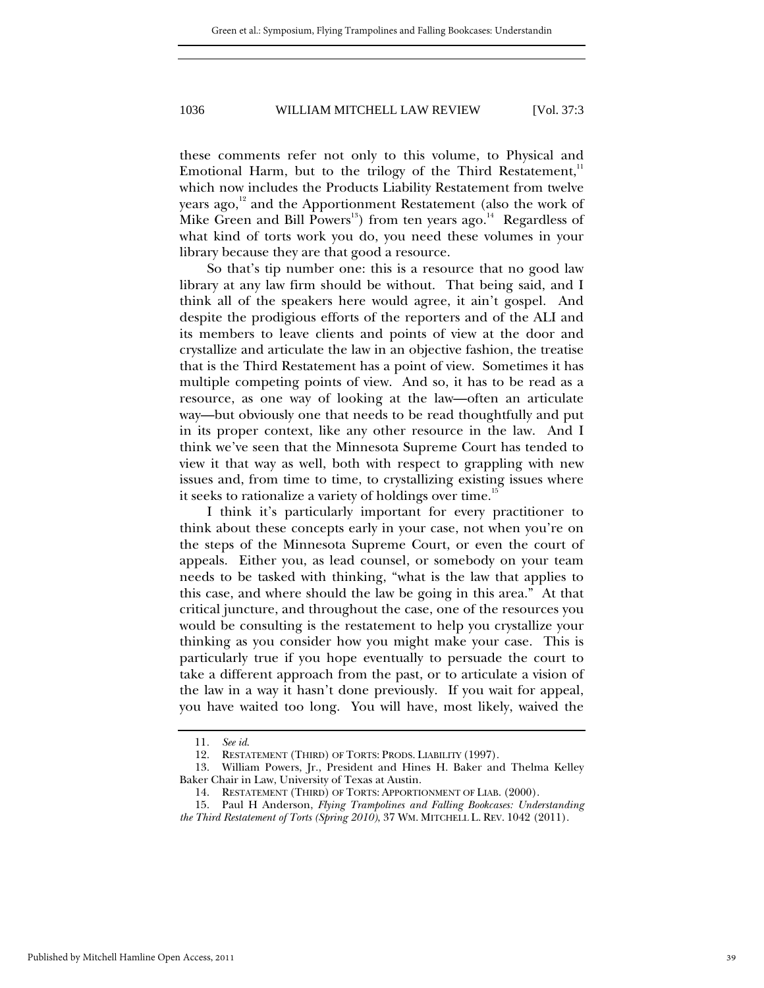these comments refer not only to this volume, to Physical and Emotional Harm, but to the trilogy of the Third Restatement, $11$ which now includes the Products Liability Restatement from twelve years ago, $^{12}$  and the Apportionment Restatement (also the work of Mike Green and Bill Powers<sup>13</sup>) from ten years ago.<sup>14</sup> Regardless of what kind of torts work you do, you need these volumes in your library because they are that good a resource.

So that's tip number one: this is a resource that no good law library at any law firm should be without. That being said, and I think all of the speakers here would agree, it ain't gospel. And despite the prodigious efforts of the reporters and of the ALI and its members to leave clients and points of view at the door and crystallize and articulate the law in an objective fashion, the treatise that is the Third Restatement has a point of view. Sometimes it has multiple competing points of view. And so, it has to be read as a resource, as one way of looking at the law—often an articulate way—but obviously one that needs to be read thoughtfully and put in its proper context, like any other resource in the law. And I think we've seen that the Minnesota Supreme Court has tended to view it that way as well, both with respect to grappling with new issues and, from time to time, to crystallizing existing issues where it seeks to rationalize a variety of holdings over time.<sup>15</sup>

I think it's particularly important for every practitioner to think about these concepts early in your case, not when you're on the steps of the Minnesota Supreme Court, or even the court of appeals. Either you, as lead counsel, or somebody on your team needs to be tasked with thinking, "what is the law that applies to this case, and where should the law be going in this area." At that critical juncture, and throughout the case, one of the resources you would be consulting is the restatement to help you crystallize your thinking as you consider how you might make your case. This is particularly true if you hope eventually to persuade the court to take a different approach from the past, or to articulate a vision of the law in a way it hasn't done previously. If you wait for appeal, you have waited too long. You will have, most likely, waived the

<sup>11</sup>*. See id*.

 <sup>12.</sup> RESTATEMENT (THIRD) OF TORTS: PRODS. LIABILITY (1997).

 <sup>13.</sup> William Powers, Jr., President and Hines H. Baker and Thelma Kelley Baker Chair in Law, University of Texas at Austin.

 <sup>14.</sup> RESTATEMENT (THIRD) OF TORTS: APPORTIONMENT OF LIAB. (2000).

 <sup>15.</sup> Paul H Anderson, *Flying Trampolines and Falling Bookcases: Understanding the Third Restatement of Torts (Spring 2010)*, 37 WM. MITCHELL L. REV. 1042 (2011).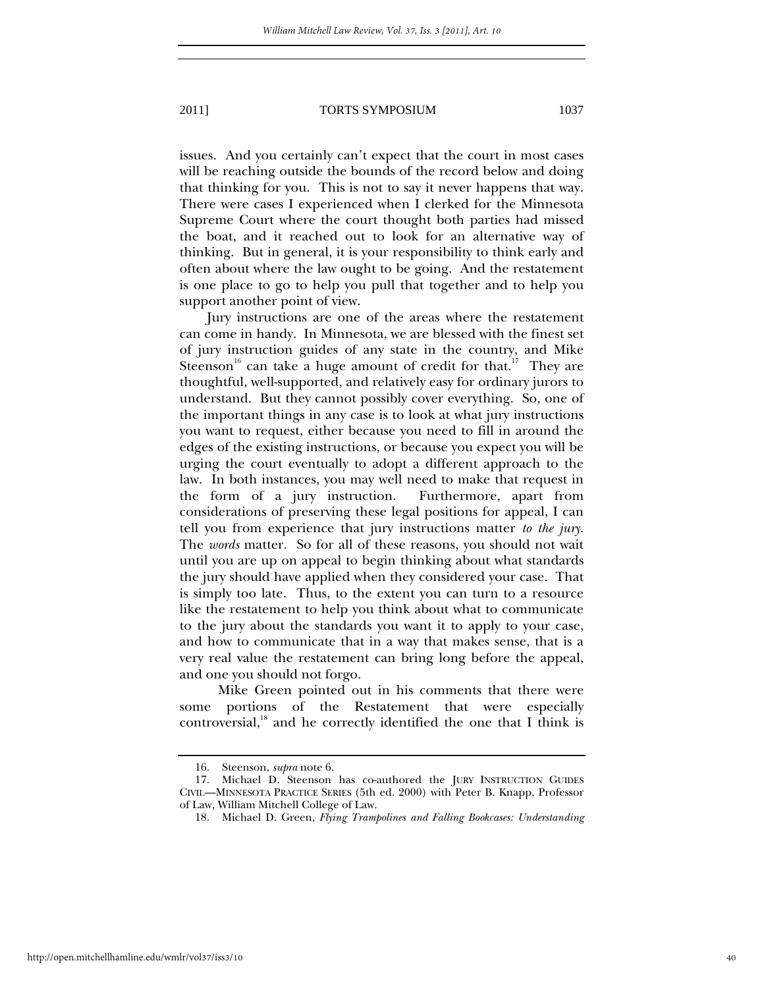issues. And you certainly can't expect that the court in most cases will be reaching outside the bounds of the record below and doing that thinking for you. This is not to say it never happens that way. There were cases I experienced when I clerked for the Minnesota Supreme Court where the court thought both parties had missed the boat, and it reached out to look for an alternative way of thinking. But in general, it is your responsibility to think early and often about where the law ought to be going. And the restatement is one place to go to help you pull that together and to help you support another point of view.

Jury instructions are one of the areas where the restatement can come in handy. In Minnesota, we are blessed with the finest set of jury instruction guides of any state in the country, and Mike Steenson<sup>16</sup> can take a huge amount of credit for that.<sup>17</sup> They are thoughtful, well-supported, and relatively easy for ordinary jurors to understand. But they cannot possibly cover everything. So, one of the important things in any case is to look at what jury instructions you want to request, either because you need to fill in around the edges of the existing instructions, or because you expect you will be urging the court eventually to adopt a different approach to the law. In both instances, you may well need to make that request in the form of a jury instruction. Furthermore, apart from considerations of preserving these legal positions for appeal, I can tell you from experience that jury instructions matter *to the jury*. The *words* matter. So for all of these reasons, you should not wait until you are up on appeal to begin thinking about what standards the jury should have applied when they considered your case. That is simply too late. Thus, to the extent you can turn to a resource like the restatement to help you think about what to communicate to the jury about the standards you want it to apply to your case, and how to communicate that in a way that makes sense, that is a very real value the restatement can bring long before the appeal, and one you should not forgo.

 Mike Green pointed out in his comments that there were some portions of the Restatement that were especially controversial, $18$  and he correctly identified the one that I think is

 <sup>16.</sup> Steenson, *supra* note 6.

 <sup>17.</sup> Michael D. Steenson has co-authored the JURY INSTRUCTION GUIDES CIVIL—MINNESOTA PRACTICE SERIES (5th ed. 2000) with Peter B. Knapp, Professor of Law, William Mitchell College of Law.

 <sup>18.</sup> Michael D. Green, *Flying Trampolines and Falling Bookcases: Understanding*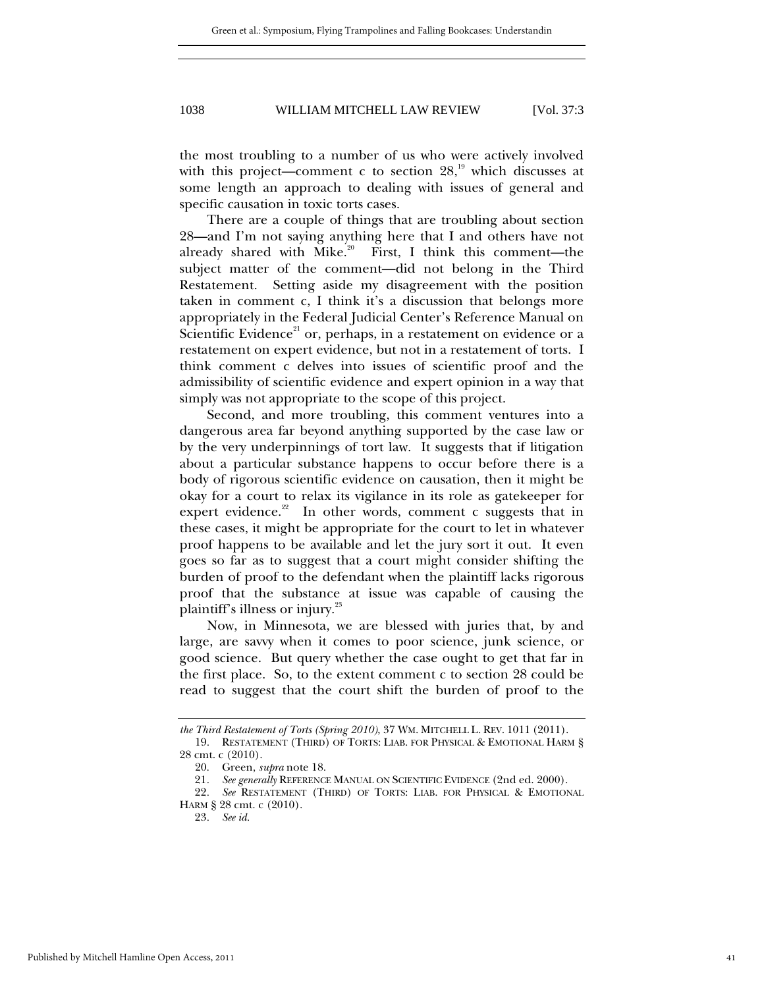the most troubling to a number of us who were actively involved with this project—comment c to section  $28<sup>19</sup>$ , which discusses at some length an approach to dealing with issues of general and specific causation in toxic torts cases.

There are a couple of things that are troubling about section 28—and I'm not saying anything here that I and others have not already shared with Mike.<sup>20</sup> First, I think this comment—the subject matter of the comment—did not belong in the Third Restatement. Setting aside my disagreement with the position taken in comment c, I think it's a discussion that belongs more appropriately in the Federal Judicial Center's Reference Manual on Scientific Evidence<sup>21</sup> or, perhaps, in a restatement on evidence or a restatement on expert evidence, but not in a restatement of torts. I think comment c delves into issues of scientific proof and the admissibility of scientific evidence and expert opinion in a way that simply was not appropriate to the scope of this project.

Second, and more troubling, this comment ventures into a dangerous area far beyond anything supported by the case law or by the very underpinnings of tort law. It suggests that if litigation about a particular substance happens to occur before there is a body of rigorous scientific evidence on causation, then it might be okay for a court to relax its vigilance in its role as gatekeeper for expert evidence.<sup>22</sup> In other words, comment c suggests that in these cases, it might be appropriate for the court to let in whatever proof happens to be available and let the jury sort it out. It even goes so far as to suggest that a court might consider shifting the burden of proof to the defendant when the plaintiff lacks rigorous proof that the substance at issue was capable of causing the plaintiff's illness or injury.<sup>23</sup>

Now, in Minnesota, we are blessed with juries that, by and large, are savvy when it comes to poor science, junk science, or good science. But query whether the case ought to get that far in the first place. So, to the extent comment c to section 28 could be read to suggest that the court shift the burden of proof to the

*the Third Restatement of Torts (Spring 2010)*, 37 WM. MITCHELL L. REV. 1011 (2011).

 <sup>19.</sup> RESTATEMENT (THIRD) OF TORTS: LIAB. FOR PHYSICAL & EMOTIONAL HARM § 28 cmt. c (2010).

 <sup>20.</sup> Green, *supra* note 18.

<sup>21</sup>*. See generally* REFERENCE MANUAL ON SCIENTIFIC EVIDENCE (2nd ed. 2000).

<sup>22</sup>*. See* RESTATEMENT (THIRD) OF TORTS: LIAB. FOR PHYSICAL & EMOTIONAL HARM § 28 cmt. c (2010).

<sup>23</sup>*. See id.*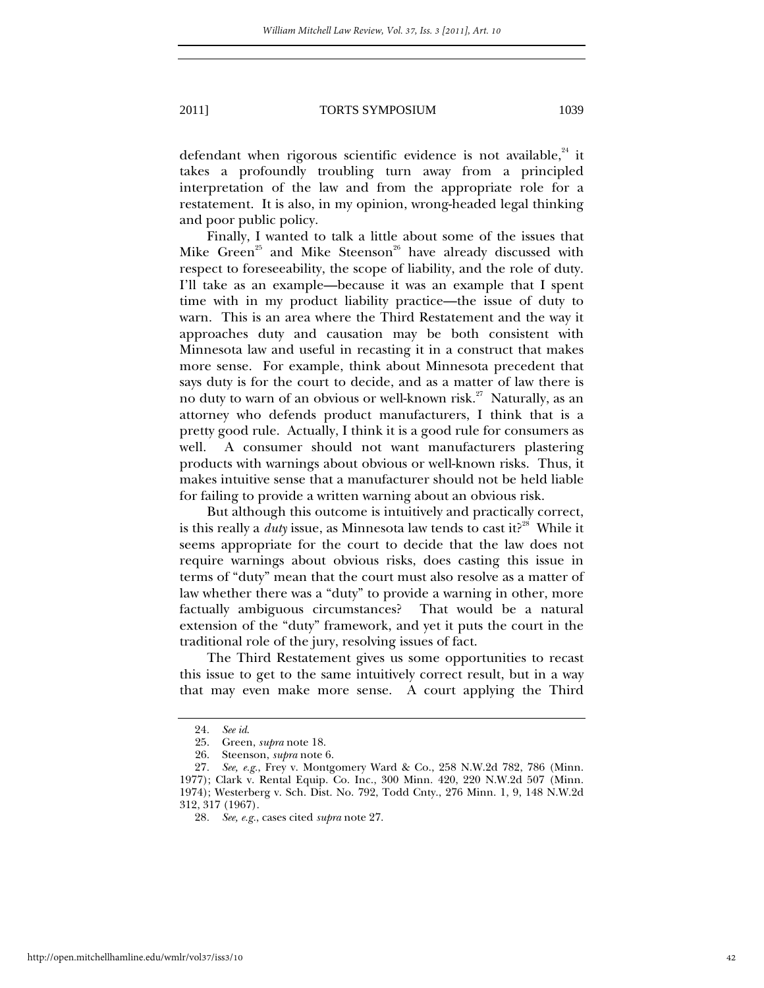defendant when rigorous scientific evidence is not available, $24$  it takes a profoundly troubling turn away from a principled interpretation of the law and from the appropriate role for a restatement. It is also, in my opinion, wrong-headed legal thinking and poor public policy.

Finally, I wanted to talk a little about some of the issues that Mike Green<sup>25</sup> and Mike Steenson<sup>26</sup> have already discussed with respect to foreseeability, the scope of liability, and the role of duty. I'll take as an example—because it was an example that I spent time with in my product liability practice—the issue of duty to warn. This is an area where the Third Restatement and the way it approaches duty and causation may be both consistent with Minnesota law and useful in recasting it in a construct that makes more sense. For example, think about Minnesota precedent that says duty is for the court to decide, and as a matter of law there is no duty to warn of an obvious or well-known risk.<sup>27</sup> Naturally, as an attorney who defends product manufacturers, I think that is a pretty good rule. Actually, I think it is a good rule for consumers as well. A consumer should not want manufacturers plastering products with warnings about obvious or well-known risks. Thus, it makes intuitive sense that a manufacturer should not be held liable for failing to provide a written warning about an obvious risk.

But although this outcome is intuitively and practically correct, is this really a  $duty$  issue, as Minnesota law tends to cast it?<sup>28</sup> While it seems appropriate for the court to decide that the law does not require warnings about obvious risks, does casting this issue in terms of "duty" mean that the court must also resolve as a matter of law whether there was a "duty" to provide a warning in other, more factually ambiguous circumstances? That would be a natural extension of the "duty" framework, and yet it puts the court in the traditional role of the jury, resolving issues of fact.

The Third Restatement gives us some opportunities to recast this issue to get to the same intuitively correct result, but in a way that may even make more sense. A court applying the Third

<sup>24</sup>*. See id*.

 <sup>25.</sup> Green, *supra* note 18.

 <sup>26.</sup> Steenson, *supra* note 6.

<sup>27</sup>*. See, e.g.*, Frey v. Montgomery Ward & Co., 258 N.W.2d 782, 786 (Minn. 1977); Clark v. Rental Equip. Co. Inc., 300 Minn. 420, 220 N.W.2d 507 (Minn. 1974); Westerberg v. Sch. Dist. No. 792, Todd Cnty., 276 Minn. 1, 9, 148 N.W.2d 312, 317 (1967).

<sup>28</sup>*. See, e.g.*, cases cited *supra* note 27.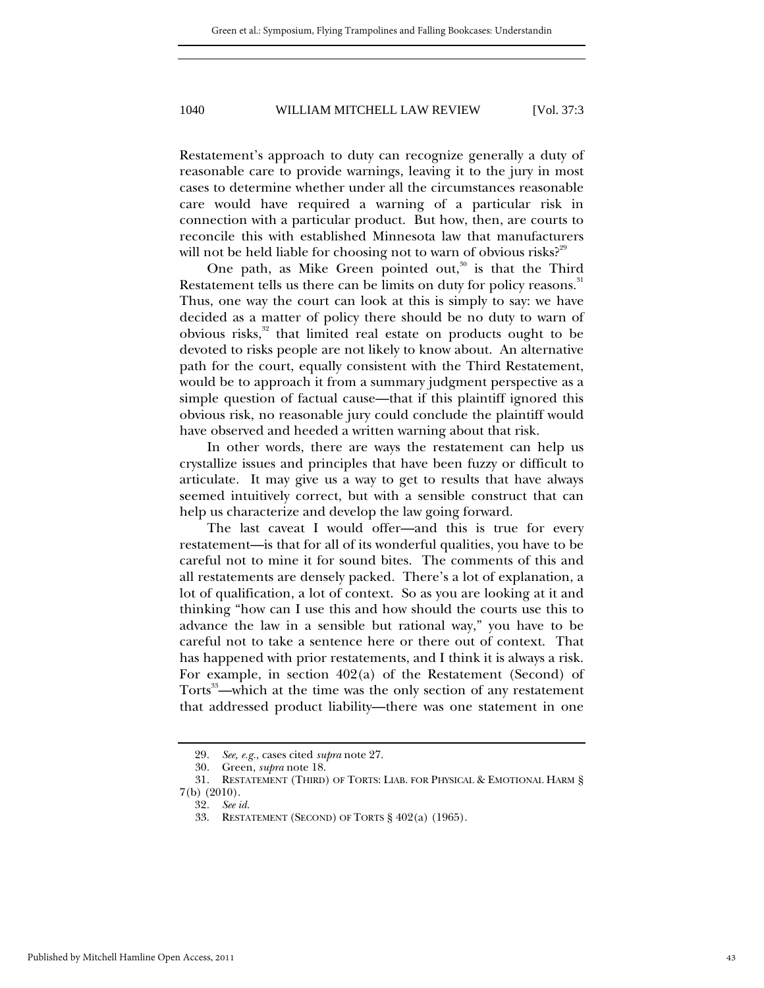Restatement's approach to duty can recognize generally a duty of reasonable care to provide warnings, leaving it to the jury in most cases to determine whether under all the circumstances reasonable care would have required a warning of a particular risk in connection with a particular product. But how, then, are courts to reconcile this with established Minnesota law that manufacturers will not be held liable for choosing not to warn of obvious risks?<sup>29</sup>

One path, as Mike Green pointed out, $30$  is that the Third Restatement tells us there can be limits on duty for policy reasons. $^{\textrm{\tiny{31}}}$ Thus, one way the court can look at this is simply to say: we have decided as a matter of policy there should be no duty to warn of obvious risks, $32$  that limited real estate on products ought to be devoted to risks people are not likely to know about. An alternative path for the court, equally consistent with the Third Restatement, would be to approach it from a summary judgment perspective as a simple question of factual cause—that if this plaintiff ignored this obvious risk, no reasonable jury could conclude the plaintiff would have observed and heeded a written warning about that risk.

In other words, there are ways the restatement can help us crystallize issues and principles that have been fuzzy or difficult to articulate. It may give us a way to get to results that have always seemed intuitively correct, but with a sensible construct that can help us characterize and develop the law going forward.

The last caveat I would offer—and this is true for every restatement—is that for all of its wonderful qualities, you have to be careful not to mine it for sound bites. The comments of this and all restatements are densely packed. There's a lot of explanation, a lot of qualification, a lot of context. So as you are looking at it and thinking "how can I use this and how should the courts use this to advance the law in a sensible but rational way," you have to be careful not to take a sentence here or there out of context. That has happened with prior restatements, and I think it is always a risk. For example, in section 402(a) of the Restatement (Second) of Torts<sup>33</sup>—which at the time was the only section of any restatement that addressed product liability—there was one statement in one

<sup>29</sup>*. See, e.g.*, cases cited *supra* note 27.

 <sup>30.</sup> Green, *supra* note 18.

 <sup>31.</sup> RESTATEMENT (THIRD) OF TORTS: LIAB. FOR PHYSICAL & EMOTIONAL HARM § 7(b) (2010).

<sup>32</sup>*. See id.*

 <sup>33.</sup> RESTATEMENT (SECOND) OF TORTS § 402(a) (1965).